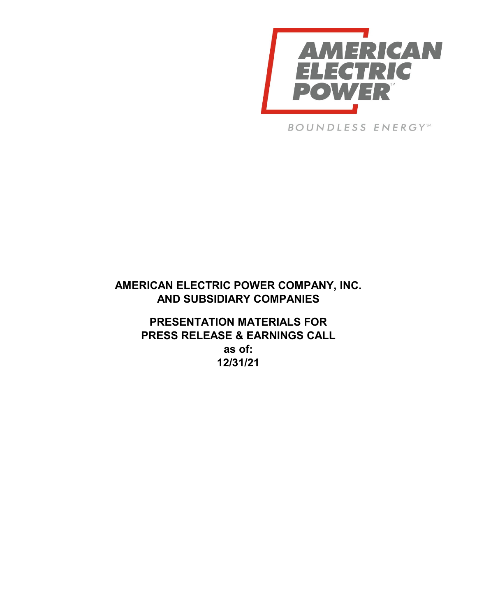

**BOUNDLESS ENERGY**SM

# **AMERICAN ELECTRIC POWER COMPANY, INC. AND SUBSIDIARY COMPANIES**

**PRESENTATION MATERIALS FOR PRESS RELEASE & EARNINGS CALL as of: 12/31/21**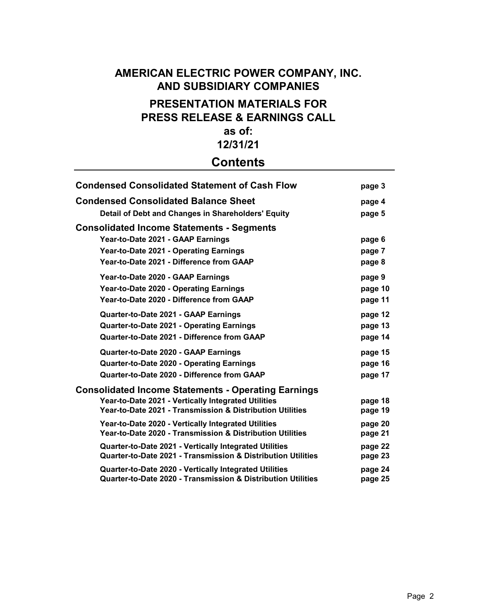# **AMERICAN ELECTRIC POWER COMPANY, INC. AND SUBSIDIARY COMPANIES PRESENTATION MATERIALS FOR PRESS RELEASE & EARNINGS CALL as of:**

# **12/31/21**

# **Contents**

| <b>Condensed Consolidated Statement of Cash Flow</b>                                                                   | page 3             |
|------------------------------------------------------------------------------------------------------------------------|--------------------|
| <b>Condensed Consolidated Balance Sheet</b>                                                                            | page 4             |
| Detail of Debt and Changes in Shareholders' Equity                                                                     | page 5             |
| <b>Consolidated Income Statements - Segments</b>                                                                       |                    |
| Year-to-Date 2021 - GAAP Earnings                                                                                      | page 6             |
| Year-to-Date 2021 - Operating Earnings                                                                                 | page 7             |
| Year-to-Date 2021 - Difference from GAAP                                                                               | page 8             |
| Year-to-Date 2020 - GAAP Earnings                                                                                      | page 9             |
| Year-to-Date 2020 - Operating Earnings                                                                                 | page 10            |
| Year-to-Date 2020 - Difference from GAAP                                                                               | page 11            |
| Quarter-to-Date 2021 - GAAP Earnings                                                                                   | page 12            |
| <b>Quarter-to-Date 2021 - Operating Earnings</b>                                                                       | page 13            |
| Quarter-to-Date 2021 - Difference from GAAP                                                                            | page 14            |
| Quarter-to-Date 2020 - GAAP Earnings                                                                                   | page 15            |
| <b>Quarter-to-Date 2020 - Operating Earnings</b>                                                                       | page 16            |
| Quarter-to-Date 2020 - Difference from GAAP                                                                            | page 17            |
| <b>Consolidated Income Statements - Operating Earnings</b>                                                             |                    |
| Year-to-Date 2021 - Vertically Integrated Utilities                                                                    | page 18            |
| Year-to-Date 2021 - Transmission & Distribution Utilities                                                              | page 19            |
| Year-to-Date 2020 - Vertically Integrated Utilities                                                                    | page 20            |
| Year-to-Date 2020 - Transmission & Distribution Utilities                                                              | page 21            |
| Quarter-to-Date 2021 - Vertically Integrated Utilities                                                                 | page 22            |
| Quarter-to-Date 2021 - Transmission & Distribution Utilities                                                           | page 23            |
| Quarter-to-Date 2020 - Vertically Integrated Utilities<br>Quarter-to-Date 2020 - Transmission & Distribution Utilities | page 24<br>page 25 |
|                                                                                                                        |                    |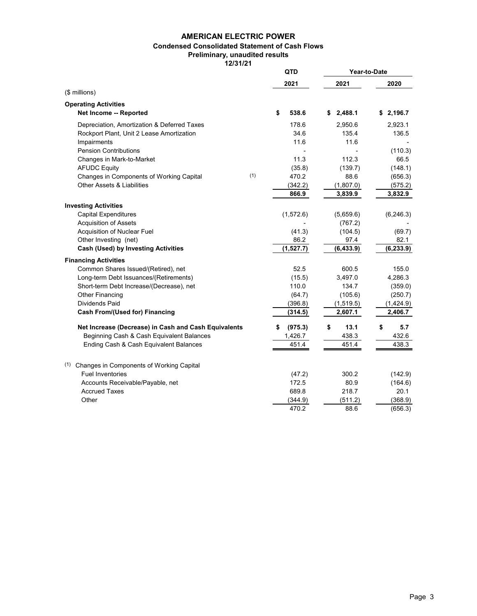### **AMERICAN ELECTRIC POWER**

### **Condensed Consolidated Statement of Cash Flows**

**Preliminary, unaudited results**

**12/31/21**

|                                                      | QTD           | Year-to-Date |            |
|------------------------------------------------------|---------------|--------------|------------|
|                                                      | 2021          | 2021         | 2020       |
| (\$ millions)                                        |               |              |            |
| <b>Operating Activities</b>                          |               |              |            |
| Net Income -- Reported                               | 538.6<br>\$   | \$2,488.1    | \$2,196.7  |
| Depreciation, Amortization & Deferred Taxes          | 178.6         | 2.950.6      | 2,923.1    |
| Rockport Plant, Unit 2 Lease Amortization            | 34.6          | 135.4        | 136.5      |
| Impairments                                          | 11.6          | 11.6         |            |
| <b>Pension Contributions</b>                         |               |              | (110.3)    |
| Changes in Mark-to-Market                            | 11.3          | 112.3        | 66.5       |
| <b>AFUDC Equity</b>                                  | (35.8)        | (139.7)      | (148.1)    |
| (1)<br>Changes in Components of Working Capital      | 470.2         | 88.6         | (656.3)    |
| <b>Other Assets &amp; Liabilities</b>                | (342.2)       | (1,807.0)    | (575.2)    |
|                                                      | 866.9         | 3,839.9      | 3,832.9    |
| <b>Investing Activities</b>                          |               |              |            |
| <b>Capital Expenditures</b>                          | (1,572.6)     | (5,659.6)    | (6, 246.3) |
| <b>Acquisition of Assets</b>                         |               | (767.2)      |            |
| Acquisition of Nuclear Fuel                          | (41.3)        | (104.5)      | (69.7)     |
| Other Investing (net)                                | 86.2          | 97.4         | 82.1       |
| <b>Cash (Used) by Investing Activities</b>           | (1,527.7)     | (6, 433.9)   | (6, 233.9) |
|                                                      |               |              |            |
| <b>Financing Activities</b>                          |               |              |            |
| Common Shares Issued/(Retired), net                  | 52.5          | 600.5        | 155.0      |
| Long-term Debt Issuances/(Retirements)               | (15.5)        | 3,497.0      | 4,286.3    |
| Short-term Debt Increase/(Decrease), net             | 110.0         | 134.7        | (359.0)    |
| <b>Other Financing</b>                               | (64.7)        | (105.6)      | (250.7)    |
| <b>Dividends Paid</b>                                | (396.8)       | (1, 519.5)   | (1,424.9)  |
| <b>Cash From/(Used for) Financing</b>                | (314.5)       | 2,607.1      | 2,406.7    |
| Net Increase (Decrease) in Cash and Cash Equivalents | \$<br>(975.3) | \$<br>13.1   | \$<br>5.7  |
| Beginning Cash & Cash Equivalent Balances            | 1,426.7       | 438.3        | 432.6      |
| Ending Cash & Cash Equivalent Balances               | 451.4         | 451.4        | 438.3      |
| (1)<br>Changes in Components of Working Capital      |               |              |            |
| <b>Fuel Inventories</b>                              | (47.2)        | 300.2        | (142.9)    |
| Accounts Receivable/Payable, net                     | 172.5         | 80.9         | (164.6)    |
| <b>Accrued Taxes</b>                                 | 689.8         | 218.7        | 20.1       |
| Other                                                | (344.9)       | (511.2)      | (368.9)    |
|                                                      | 470.2         | 88.6         | (656.3)    |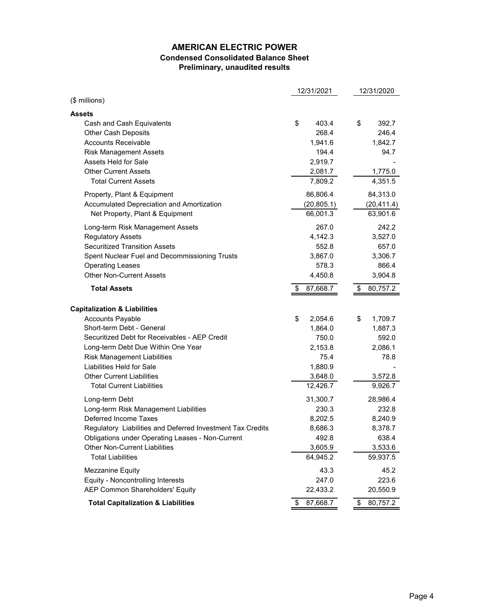# **AMERICAN ELECTRIC POWER Condensed Consolidated Balance Sheet Preliminary, unaudited results**

|                                                            | 12/31/2021     | 12/31/2020     |
|------------------------------------------------------------|----------------|----------------|
| (\$ millions)                                              |                |                |
| <b>Assets</b>                                              |                |                |
| Cash and Cash Equivalents                                  | \$<br>403.4    | \$<br>392.7    |
| <b>Other Cash Deposits</b>                                 | 268.4          | 246.4          |
| <b>Accounts Receivable</b>                                 | 1,941.6        | 1,842.7        |
| <b>Risk Management Assets</b>                              | 194.4          | 94.7           |
| Assets Held for Sale                                       | 2,919.7        |                |
| <b>Other Current Assets</b>                                | 2,081.7        | 1,775.0        |
| <b>Total Current Assets</b>                                | 7,809.2        | 4,351.5        |
| Property, Plant & Equipment                                | 86,806.4       | 84,313.0       |
| Accumulated Depreciation and Amortization                  | (20, 805.1)    | (20, 411.4)    |
| Net Property, Plant & Equipment                            | 66,001.3       | 63,901.6       |
| Long-term Risk Management Assets                           | 267.0          | 242.2          |
| <b>Regulatory Assets</b>                                   | 4,142.3        | 3,527.0        |
| <b>Securitized Transition Assets</b>                       | 552.8          | 657.0          |
| Spent Nuclear Fuel and Decommissioning Trusts              | 3,867.0        | 3,306.7        |
| <b>Operating Leases</b>                                    | 578.3          | 866.4          |
| <b>Other Non-Current Assets</b>                            | 4,450.8        | 3,904.8        |
| <b>Total Assets</b>                                        | 87,668.7<br>\$ | \$<br>80,757.2 |
| <b>Capitalization &amp; Liabilities</b>                    |                |                |
| <b>Accounts Payable</b>                                    | \$<br>2,054.6  | \$<br>1,709.7  |
| Short-term Debt - General                                  | 1,864.0        | 1,887.3        |
| Securitized Debt for Receivables - AEP Credit              | 750.0          | 592.0          |
| Long-term Debt Due Within One Year                         | 2,153.8        | 2,086.1        |
| <b>Risk Management Liabilities</b>                         | 75.4           | 78.8           |
| Liabilities Held for Sale                                  | 1,880.9        |                |
| <b>Other Current Liabilities</b>                           | 3,648.0        | 3,572.8        |
| <b>Total Current Liabilities</b>                           | 12,426.7       | 9,926.7        |
| Long-term Debt                                             | 31,300.7       | 28,986.4       |
| Long-term Risk Management Liabilities                      | 230.3          | 232.8          |
| Deferred Income Taxes                                      | 8,202.5        | 8,240.9        |
| Regulatory Liabilities and Deferred Investment Tax Credits | 8,686.3        | 8,378.7        |
| Obligations under Operating Leases - Non-Current           | 492.8          | 638.4          |
| <b>Other Non-Current Liabilities</b>                       | 3,605.9        | 3,533.6        |
| <b>Total Liabilities</b>                                   | 64,945.2       | 59,937.5       |
| Mezzanine Equity                                           | 43.3           | 45.2           |
| Equity - Noncontrolling Interests                          | 247.0          | 223.6          |
| <b>AEP Common Shareholders' Equity</b>                     | 22,433.2       | 20,550.9       |
| <b>Total Capitalization &amp; Liabilities</b>              | \$<br>87,668.7 | \$<br>80,757.2 |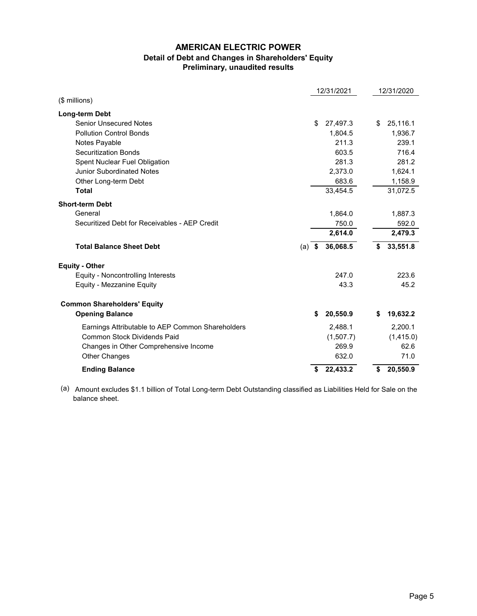# **AMERICAN ELECTRIC POWER Detail of Debt and Changes in Shareholders' Equity Preliminary, unaudited results**

|                                                  |      | 12/31/2021 |    | 12/31/2020 |
|--------------------------------------------------|------|------------|----|------------|
| (\$ millions)                                    |      |            |    |            |
| Long-term Debt                                   |      |            |    |            |
| <b>Senior Unsecured Notes</b>                    | \$   | 27,497.3   | \$ | 25,116.1   |
| <b>Pollution Control Bonds</b>                   |      | 1,804.5    |    | 1,936.7    |
| Notes Payable                                    |      | 211.3      |    | 239.1      |
| <b>Securitization Bonds</b>                      |      | 603.5      |    | 716.4      |
| Spent Nuclear Fuel Obligation                    |      | 281.3      |    | 281.2      |
| <b>Junior Subordinated Notes</b>                 |      | 2,373.0    |    | 1,624.1    |
| Other Long-term Debt                             |      | 683.6      |    | 1,158.9    |
| <b>Total</b>                                     |      | 33,454.5   |    | 31,072.5   |
| <b>Short-term Debt</b>                           |      |            |    |            |
| General                                          |      | 1,864.0    |    | 1,887.3    |
| Securitized Debt for Receivables - AEP Credit    |      | 750.0      |    | 592.0      |
|                                                  |      | 2,614.0    |    | 2,479.3    |
| <b>Total Balance Sheet Debt</b><br>(a)           | - \$ | 36,068.5   | \$ | 33,551.8   |
| <b>Equity - Other</b>                            |      |            |    |            |
| Equity - Noncontrolling Interests                |      | 247.0      |    | 223.6      |
| Equity - Mezzanine Equity                        |      | 43.3       |    | 45.2       |
| <b>Common Shareholders' Equity</b>               |      |            |    |            |
| <b>Opening Balance</b>                           | \$   | 20,550.9   | S  | 19,632.2   |
| Earnings Attributable to AEP Common Shareholders |      | 2,488.1    |    | 2,200.1    |
| <b>Common Stock Dividends Paid</b>               |      | (1,507.7)  |    | (1,415.0)  |
| Changes in Other Comprehensive Income            |      | 269.9      |    | 62.6       |
| <b>Other Changes</b>                             |      | 632.0      |    | 71.0       |
| <b>Ending Balance</b>                            | \$   | 22,433.2   | \$ | 20,550.9   |

(a) Amount excludes \$1.1 billion of Total Long-term Debt Outstanding classified as Liabilities Held for Sale on the balance sheet.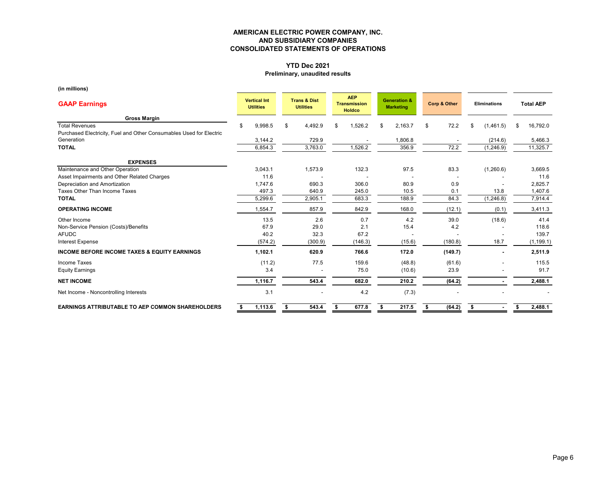# **YTD Dec 2021**

# **Preliminary, unaudited results**

**(in millions)**

| <b>GAAP Earnings</b>                                                | <b>Vertical Int</b><br><b>Utilities</b> |         | <b>Trans &amp; Dist</b><br><b>Utilities</b> |    | <b>AEP</b><br><b>Transmission</b><br><b>Holdco</b> |    | <b>Generation &amp;</b><br><b>Marketing</b> |    | <b>Corp &amp; Other</b> | <b>Eliminations</b> |            |     | <b>Total AEP</b> |
|---------------------------------------------------------------------|-----------------------------------------|---------|---------------------------------------------|----|----------------------------------------------------|----|---------------------------------------------|----|-------------------------|---------------------|------------|-----|------------------|
| <b>Gross Margin</b>                                                 |                                         |         |                                             |    |                                                    |    |                                             |    |                         |                     |            |     |                  |
| <b>Total Revenues</b>                                               | ደ                                       | 9,998.5 | \$<br>4,492.9                               | \$ | 1,526.2                                            | \$ | 2,163.7                                     | \$ | 72.2                    | \$                  | (1,461.5)  | \$. | 16,792.0         |
| Purchased Electricity, Fuel and Other Consumables Used for Electric |                                         |         |                                             |    |                                                    |    |                                             |    |                         |                     |            |     |                  |
| Generation                                                          |                                         | 3,144.2 | 729.9                                       |    |                                                    |    | 1,806.8                                     |    |                         |                     | (214.6)    |     | 5,466.3          |
| <b>TOTAL</b>                                                        |                                         | 6,854.3 | 3,763.0                                     |    | 1,526.2                                            |    | 356.9                                       |    | 72.2                    |                     | (1, 246.9) |     | 11,325.7         |
| <b>EXPENSES</b>                                                     |                                         |         |                                             |    |                                                    |    |                                             |    |                         |                     |            |     |                  |
| Maintenance and Other Operation                                     |                                         | 3,043.1 | 1,573.9                                     |    | 132.3                                              |    | 97.5                                        |    | 83.3                    |                     | (1,260.6)  |     | 3,669.5          |
| Asset Impairments and Other Related Charges                         |                                         | 11.6    |                                             |    |                                                    |    |                                             |    |                         |                     |            |     | 11.6             |
| Depreciation and Amortization                                       |                                         | 1,747.6 | 690.3                                       |    | 306.0                                              |    | 80.9                                        |    | 0.9                     |                     |            |     | 2,825.7          |
| Taxes Other Than Income Taxes                                       |                                         | 497.3   | 640.9                                       |    | 245.0                                              |    | 10.5                                        |    | 0.1                     |                     | 13.8       |     | 1,407.6          |
| <b>TOTAL</b>                                                        |                                         | 5,299.6 | 2,905.1                                     |    | 683.3                                              |    | 188.9                                       |    | 84.3                    |                     | (1, 246.8) |     | 7,914.4          |
| <b>OPERATING INCOME</b>                                             |                                         | 1,554.7 | 857.9                                       |    | 842.9                                              |    | 168.0                                       |    | (12.1)                  |                     | (0.1)      |     | 3,411.3          |
| Other Income                                                        |                                         | 13.5    | 2.6                                         |    | 0.7                                                |    | 4.2                                         |    | 39.0                    |                     | (18.6)     |     | 41.4             |
| Non-Service Pension (Costs)/Benefits                                |                                         | 67.9    | 29.0                                        |    | 2.1                                                |    | 15.4                                        |    | 4.2                     |                     |            |     | 118.6            |
| <b>AFUDC</b>                                                        |                                         | 40.2    | 32.3                                        |    | 67.2                                               |    |                                             |    |                         |                     |            |     | 139.7            |
| <b>Interest Expense</b>                                             |                                         | (574.2) | (300.9)                                     |    | (146.3)                                            |    | (15.6)                                      |    | (180.8)                 |                     | 18.7       |     | (1, 199.1)       |
| <b>INCOME BEFORE INCOME TAXES &amp; EQUITY EARNINGS</b>             |                                         | 1,102.1 | 620.9                                       |    | 766.6                                              |    | 172.0                                       |    | (149.7)                 |                     |            |     | 2,511.9          |
| Income Taxes                                                        |                                         | (11.2)  | 77.5                                        |    | 159.6                                              |    | (48.8)                                      |    | (61.6)                  |                     |            |     | 115.5            |
| <b>Equity Earnings</b>                                              |                                         | 3.4     |                                             |    | 75.0                                               |    | (10.6)                                      |    | 23.9                    |                     |            |     | 91.7             |
| <b>NET INCOME</b>                                                   |                                         | 1,116.7 | 543.4                                       |    | 682.0                                              |    | 210.2                                       |    | (64.2)                  |                     |            |     | 2,488.1          |
| Net Income - Noncontrolling Interests                               |                                         | 3.1     |                                             |    | 4.2                                                |    | (7.3)                                       |    |                         |                     |            |     |                  |
| <b>EARNINGS ATTRIBUTABLE TO AEP COMMON SHAREHOLDERS</b>             |                                         | 1,113.6 | \$<br>543.4                                 | \$ | 677.8                                              |    | 217.5                                       | \$ | (64.2)                  | -\$                 |            |     | 2,488.1          |

Page 6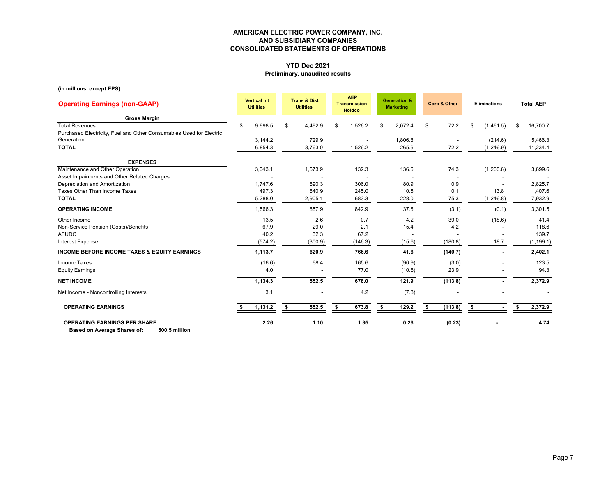# **YTD Dec 2021**

## **Preliminary, unaudited results**

**(in millions, except EPS)**

| <b>Operating Earnings (non-GAAP)</b>                                                         | <b>Vertical Int</b><br><b>Utilities</b> |         | <b>Trans &amp; Dist</b><br><b>Utilities</b> |    | <b>AEP</b><br><b>Transmission</b><br><b>Holdco</b> |   | <b>Generation &amp;</b><br><b>Marketing</b> | Corp & Other  |    | <b>Eliminations</b> |    | <b>Total AEP</b> |
|----------------------------------------------------------------------------------------------|-----------------------------------------|---------|---------------------------------------------|----|----------------------------------------------------|---|---------------------------------------------|---------------|----|---------------------|----|------------------|
| <b>Gross Margin</b>                                                                          |                                         |         |                                             |    |                                                    |   |                                             |               |    |                     |    |                  |
| <b>Total Revenues</b><br>Purchased Electricity, Fuel and Other Consumables Used for Electric | £.                                      | 9,998.5 | \$<br>4,492.9                               | \$ | 1,526.2                                            | S | 2,072.4                                     | \$<br>72.2    | \$ | (1,461.5)           | \$ | 16,700.7         |
| Generation                                                                                   |                                         | 3,144.2 | 729.9                                       |    |                                                    |   | 1,806.8                                     |               |    | (214.6)             |    | 5,466.3          |
| <b>TOTAL</b>                                                                                 |                                         | 6,854.3 | 3,763.0                                     |    | 1,526.2                                            |   | 265.6                                       | 72.2          |    | (1,246.9)           |    | 11,234.4         |
| <b>EXPENSES</b>                                                                              |                                         |         |                                             |    |                                                    |   |                                             |               |    |                     |    |                  |
| Maintenance and Other Operation                                                              | 3,043.1                                 |         | 1,573.9                                     |    | 132.3                                              |   | 136.6                                       | 74.3          |    | (1,260.6)           |    | 3,699.6          |
| Asset Impairments and Other Related Charges                                                  |                                         |         |                                             |    |                                                    |   |                                             |               |    |                     |    |                  |
| Depreciation and Amortization                                                                |                                         | 1,747.6 | 690.3                                       |    | 306.0                                              |   | 80.9                                        | 0.9           |    |                     |    | 2,825.7          |
| Taxes Other Than Income Taxes                                                                |                                         | 497.3   | 640.9                                       |    | 245.0                                              |   | 10.5                                        | 0.1           |    | 13.8                |    | 1,407.6          |
| <b>TOTAL</b>                                                                                 |                                         | 5,288.0 | 2,905.1                                     |    | 683.3                                              |   | 228.0                                       | 75.3          |    | (1, 246.8)          |    | 7,932.9          |
| <b>OPERATING INCOME</b>                                                                      |                                         | 1,566.3 | 857.9                                       |    | 842.9                                              |   | 37.6                                        | (3.1)         |    | (0.1)               |    | 3,301.5          |
| Other Income                                                                                 |                                         | 13.5    | 2.6                                         |    | 0.7                                                |   | 4.2                                         | 39.0          |    | (18.6)              |    | 41.4             |
| Non-Service Pension (Costs)/Benefits                                                         |                                         | 67.9    | 29.0                                        |    | 2.1                                                |   | 15.4                                        | 4.2           |    |                     |    | 118.6            |
| <b>AFUDC</b>                                                                                 |                                         | 40.2    | 32.3                                        |    | 67.2                                               |   |                                             |               |    |                     |    | 139.7            |
| <b>Interest Expense</b>                                                                      |                                         | (574.2) | (300.9)                                     |    | (146.3)                                            |   | (15.6)                                      | (180.8)       |    | 18.7                |    | (1, 199.1)       |
| <b>INCOME BEFORE INCOME TAXES &amp; EQUITY EARNINGS</b>                                      |                                         | 1,113.7 | 620.9                                       |    | 766.6                                              |   | 41.6                                        | (140.7)       |    |                     |    | 2,402.1          |
| Income Taxes                                                                                 |                                         | (16.6)  | 68.4                                        |    | 165.6                                              |   | (90.9)                                      | (3.0)         |    |                     |    | 123.5            |
| <b>Equity Earnings</b>                                                                       |                                         | 4.0     |                                             |    | 77.0                                               |   | (10.6)                                      | 23.9          |    |                     |    | 94.3             |
| <b>NET INCOME</b>                                                                            |                                         | 1,134.3 | 552.5                                       |    | 678.0                                              |   | 121.9                                       | (113.8)       |    |                     |    | 2,372.9          |
| Net Income - Noncontrolling Interests                                                        |                                         | 3.1     |                                             |    | 4.2                                                |   | (7.3)                                       |               |    |                     |    |                  |
| <b>OPERATING EARNINGS</b>                                                                    |                                         | 1,131.2 | \$<br>552.5                                 | S. | 673.8                                              |   | 129.2                                       | \$<br>(113.8) | Ŝ. |                     | £. | 2,372.9          |
| <b>OPERATING EARNINGS PER SHARE</b><br>Based on Average Shares of:<br>500.5 million          |                                         | 2.26    | 1.10                                        |    | 1.35                                               |   | 0.26                                        | (0.23)        |    |                     |    | 4.74             |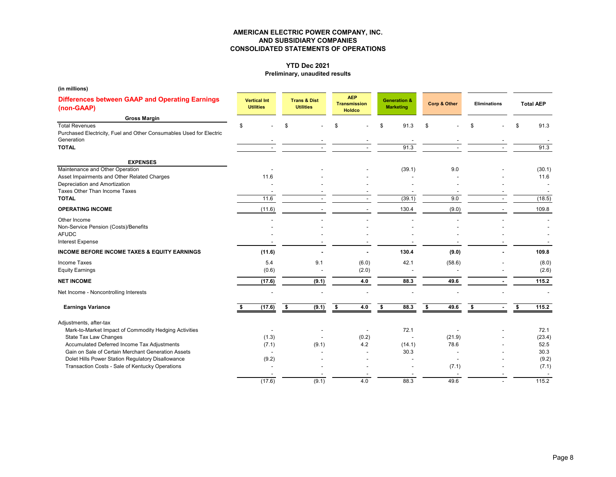# **YTD Dec 2021**

### **Preliminary, unaudited results**

| (in millions)                                                                                              |                                         |    |                                             |     |                                                    |                                             |              |                     |                      |                  |        |
|------------------------------------------------------------------------------------------------------------|-----------------------------------------|----|---------------------------------------------|-----|----------------------------------------------------|---------------------------------------------|--------------|---------------------|----------------------|------------------|--------|
| <b>Differences between GAAP and Operating Earnings</b><br>(non-GAAP)                                       | <b>Vertical Int</b><br><b>Utilities</b> |    | <b>Trans &amp; Dist</b><br><b>Utilities</b> |     | <b>AEP</b><br><b>Transmission</b><br><b>Holdco</b> | <b>Generation &amp;</b><br><b>Marketing</b> | Corp & Other | <b>Eliminations</b> |                      | <b>Total AEP</b> |        |
| <b>Gross Margin</b>                                                                                        |                                         |    |                                             |     |                                                    |                                             |              |                     |                      |                  |        |
| <b>Total Revenues</b><br>Purchased Electricity, Fuel and Other Consumables Used for Electric<br>Generation | \$                                      | \$ |                                             | \$. |                                                    | \$<br>91.3                                  | \$           | \$                  | \$                   |                  | 91.3   |
| <b>TOTAL</b>                                                                                               |                                         |    |                                             |     |                                                    | 91.3                                        |              |                     |                      |                  | 91.3   |
| <b>EXPENSES</b>                                                                                            |                                         |    |                                             |     |                                                    |                                             |              |                     |                      |                  |        |
| Maintenance and Other Operation                                                                            |                                         |    |                                             |     |                                                    | (39.1)                                      | 9.0          |                     |                      |                  | (30.1) |
| Asset Impairments and Other Related Charges                                                                | 11.6                                    |    |                                             |     |                                                    |                                             |              |                     |                      |                  | 11.6   |
| Depreciation and Amortization                                                                              |                                         |    |                                             |     |                                                    |                                             |              |                     |                      |                  |        |
| Taxes Other Than Income Taxes<br><b>TOTAL</b>                                                              |                                         |    |                                             |     |                                                    |                                             |              |                     |                      |                  |        |
|                                                                                                            | 11.6                                    |    |                                             |     |                                                    | (39.1)                                      | 9.0          |                     |                      |                  | (18.5) |
| <b>OPERATING INCOME</b>                                                                                    | (11.6)                                  |    |                                             |     |                                                    | 130.4                                       | (9.0)        |                     |                      |                  | 109.8  |
| Other Income                                                                                               |                                         |    |                                             |     |                                                    |                                             |              |                     |                      |                  |        |
| Non-Service Pension (Costs)/Benefits                                                                       |                                         |    |                                             |     |                                                    |                                             |              |                     |                      |                  |        |
| <b>AFUDC</b>                                                                                               |                                         |    |                                             |     |                                                    |                                             |              |                     |                      |                  |        |
| <b>Interest Expense</b>                                                                                    |                                         |    |                                             |     |                                                    |                                             |              |                     |                      |                  |        |
| <b>INCOME BEFORE INCOME TAXES &amp; EQUITY EARNINGS</b>                                                    | (11.6)                                  |    |                                             |     |                                                    | 130.4                                       | (9.0)        |                     |                      |                  | 109.8  |
| Income Taxes                                                                                               | 5.4                                     |    | 9.1                                         |     | (6.0)                                              | 42.1                                        | (58.6)       |                     |                      |                  | (8.0)  |
| <b>Equity Earnings</b>                                                                                     | (0.6)                                   |    |                                             |     | (2.0)                                              |                                             |              |                     |                      |                  | (2.6)  |
| <b>NET INCOME</b>                                                                                          | (17.6)                                  |    | (9.1)                                       |     | 4.0                                                | 88.3                                        | 49.6         |                     |                      |                  | 115.2  |
| Net Income - Noncontrolling Interests                                                                      |                                         |    |                                             |     |                                                    |                                             |              |                     |                      |                  |        |
| <b>Earnings Variance</b>                                                                                   | (17.6)                                  | \$ | (9.1)                                       | \$  | 4.0                                                | \$<br>88.3                                  | \$<br>49.6   | S.                  | s.<br>$\blacksquare$ |                  | 115.2  |
| Adjustments, after-tax                                                                                     |                                         |    |                                             |     |                                                    |                                             |              |                     |                      |                  |        |
| Mark-to-Market Impact of Commodity Hedging Activities                                                      |                                         |    |                                             |     |                                                    | 72.1                                        |              |                     |                      |                  | 72.1   |
| State Tax Law Changes                                                                                      | (1.3)                                   |    |                                             |     | (0.2)                                              |                                             | (21.9)       |                     |                      |                  | (23.4) |
| Accumulated Deferred Income Tax Adjustments                                                                | (7.1)                                   |    | (9.1)                                       |     | 4.2                                                | (14.1)                                      | 78.6         |                     |                      |                  | 52.5   |
| Gain on Sale of Certain Merchant Generation Assets                                                         | $\overline{\phantom{a}}$                |    |                                             |     |                                                    | 30.3                                        |              |                     |                      |                  | 30.3   |
| Dolet Hills Power Station Regulatory Disallowance                                                          | (9.2)                                   |    |                                             |     |                                                    |                                             |              |                     |                      |                  | (9.2)  |
| Transaction Costs - Sale of Kentucky Operations                                                            |                                         |    |                                             |     |                                                    |                                             | (7.1)        |                     |                      |                  | (7.1)  |
|                                                                                                            |                                         |    |                                             |     |                                                    |                                             |              |                     |                      |                  |        |
|                                                                                                            | (17.6)                                  |    | (9.1)                                       |     | 4.0                                                | 88.3                                        | 49.6         |                     |                      |                  | 115.2  |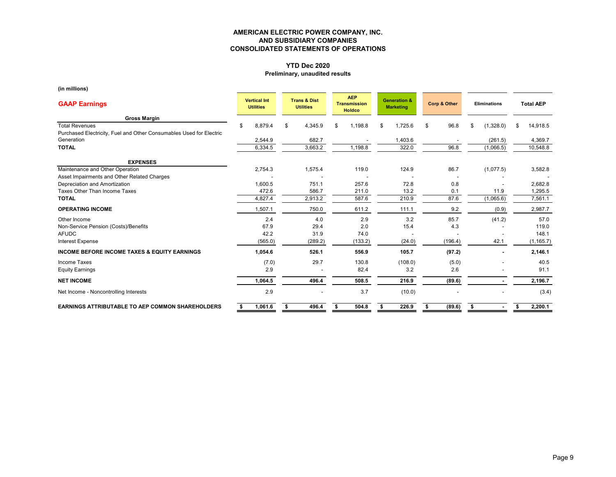# **YTD Dec 2020**

## **Preliminary, unaudited results**

| <b>GAAP Earnings</b>                                                | <b>Vertical Int</b><br><b>Utilities</b> | <b>Trans &amp; Dist</b><br><b>Utilities</b> |         | <b>AEP</b><br><b>Transmission</b><br><b>Holdco</b> |     | <b>Generation &amp;</b><br><b>Marketing</b> |    | Corp & Other | <b>Eliminations</b> |           | <b>Total AEP</b> |
|---------------------------------------------------------------------|-----------------------------------------|---------------------------------------------|---------|----------------------------------------------------|-----|---------------------------------------------|----|--------------|---------------------|-----------|------------------|
| <b>Gross Margin</b>                                                 |                                         |                                             |         |                                                    |     |                                             |    |              |                     |           |                  |
| <b>Total Revenues</b>                                               | 8,879.4<br>\$.                          | \$                                          | 4,345.9 | \$<br>1,198.8                                      | \$. | 1,725.6                                     | \$ | 96.8         | \$                  | (1,328.0) | \$<br>14,918.5   |
| Purchased Electricity, Fuel and Other Consumables Used for Electric |                                         |                                             |         |                                                    |     |                                             |    |              |                     |           |                  |
| Generation                                                          | 2,544.9                                 |                                             | 682.7   |                                                    |     | 1,403.6                                     |    |              |                     | (261.5)   | 4,369.7          |
| <b>TOTAL</b>                                                        | 6,334.5                                 |                                             | 3,663.2 | 1,198.8                                            |     | 322.0                                       |    | 96.8         |                     | (1,066.5) | 10,548.8         |
| <b>EXPENSES</b>                                                     |                                         |                                             |         |                                                    |     |                                             |    |              |                     |           |                  |
| Maintenance and Other Operation                                     | 2,754.3                                 |                                             | 1,575.4 | 119.0                                              |     | 124.9                                       |    | 86.7         |                     | (1,077.5) | 3,582.8          |
| Asset Impairments and Other Related Charges                         |                                         |                                             |         |                                                    |     |                                             |    |              |                     |           |                  |
| Depreciation and Amortization                                       | 1,600.5                                 |                                             | 751.1   | 257.6                                              |     | 72.8                                        |    | 0.8          |                     |           | 2,682.8          |
| Taxes Other Than Income Taxes                                       | 472.6                                   |                                             | 586.7   | 211.0                                              |     | 13.2                                        |    | 0.1          |                     | 11.9      | 1,295.5          |
| <b>TOTAL</b>                                                        | 4,827.4                                 |                                             | 2,913.2 | 587.6                                              |     | 210.9                                       |    | 87.6         |                     | (1,065.6) | 7,561.1          |
| <b>OPERATING INCOME</b>                                             | 1,507.1                                 |                                             | 750.0   | 611.2                                              |     | 111.1                                       |    | 9.2          |                     | (0.9)     | 2,987.7          |
| Other Income                                                        | 2.4                                     |                                             | 4.0     | 2.9                                                |     | 3.2                                         |    | 85.7         |                     | (41.2)    | 57.0             |
| Non-Service Pension (Costs)/Benefits                                | 67.9                                    |                                             | 29.4    | 2.0                                                |     | 15.4                                        |    | 4.3          |                     |           | 119.0            |
| <b>AFUDC</b>                                                        | 42.2                                    |                                             | 31.9    | 74.0                                               |     |                                             |    |              |                     |           | 148.1            |
| <b>Interest Expense</b>                                             | (565.0)                                 |                                             | (289.2) | (133.2)                                            |     | (24.0)                                      |    | (196.4)      |                     | 42.1      | (1, 165.7)       |
| <b>INCOME BEFORE INCOME TAXES &amp; EQUITY EARNINGS</b>             | 1,054.6                                 |                                             | 526.1   | 556.9                                              |     | 105.7                                       |    | (97.2)       |                     |           | 2,146.1          |
| <b>Income Taxes</b>                                                 | (7.0)                                   |                                             | 29.7    | 130.8                                              |     | (108.0)                                     |    | (5.0)        |                     |           | 40.5             |
| <b>Equity Earnings</b>                                              | 2.9                                     |                                             |         | 82.4                                               |     | 3.2                                         |    | 2.6          |                     |           | 91.1             |
| <b>NET INCOME</b>                                                   | 1,064.5                                 |                                             | 496.4   | 508.5                                              |     | 216.9                                       |    | (89.6)       |                     |           | 2,196.7          |
| Net Income - Noncontrolling Interests                               | 2.9                                     |                                             |         | 3.7                                                |     | (10.0)                                      |    |              |                     |           | (3.4)            |
| <b>EARNINGS ATTRIBUTABLE TO AEP COMMON SHAREHOLDERS</b>             | 1,061.6                                 | S                                           | 496.4   | 504.8                                              |     | 226.9                                       |    | (89.6)       | \$                  |           | 2,200.1          |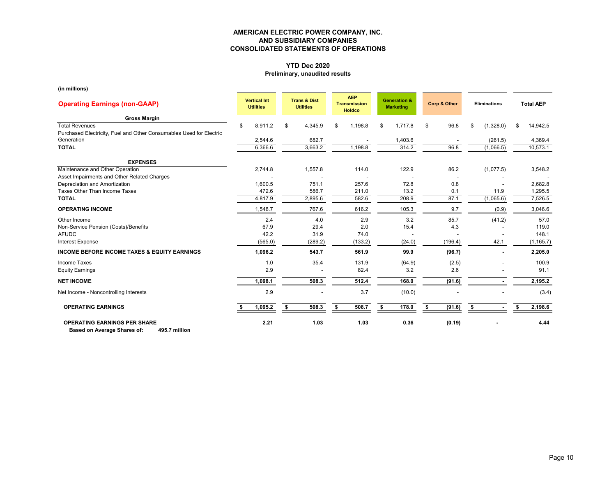# **YTD Dec 2020**

## **Preliminary, unaudited results**

| <b>Operating Earnings (non-GAAP)</b>                                                         | <b>Vertical Int</b><br><b>Utilities</b> |    | <b>Trans &amp; Dist</b><br><b>Utilities</b> |    | <b>AEP</b><br><b>Transmission</b><br><b>Holdco</b> |     | <b>Generation &amp;</b><br><b>Marketing</b> |    | Corp & Other | <b>Eliminations</b> |           | <b>Total AEP</b> |
|----------------------------------------------------------------------------------------------|-----------------------------------------|----|---------------------------------------------|----|----------------------------------------------------|-----|---------------------------------------------|----|--------------|---------------------|-----------|------------------|
| <b>Gross Margin</b>                                                                          |                                         |    |                                             |    |                                                    |     |                                             |    |              |                     |           |                  |
| <b>Total Revenues</b><br>Purchased Electricity, Fuel and Other Consumables Used for Electric | 8,911.2<br>\$                           | \$ | 4,345.9                                     | \$ | 1.198.8                                            | \$. | 1,717.8                                     | \$ | 96.8         | \$                  | (1,328.0) | \$<br>14,942.5   |
| Generation                                                                                   | 2,544.6                                 |    | 682.7                                       |    |                                                    |     | 1,403.6                                     |    |              |                     | (261.5)   | 4,369.4          |
| <b>TOTAL</b>                                                                                 | 6,366.6                                 |    | 3,663.2                                     |    | 1,198.8                                            |     | 314.2                                       |    | 96.8         |                     | (1,066.5) | 10,573.1         |
| <b>EXPENSES</b>                                                                              |                                         |    |                                             |    |                                                    |     |                                             |    |              |                     |           |                  |
| Maintenance and Other Operation                                                              | 2,744.8                                 |    | 1,557.8                                     |    | 114.0                                              |     | 122.9                                       |    | 86.2         |                     | (1,077.5) | 3,548.2          |
| Asset Impairments and Other Related Charges                                                  |                                         |    |                                             |    |                                                    |     |                                             |    |              |                     |           |                  |
| Depreciation and Amortization                                                                | 1,600.5                                 |    | 751.1                                       |    | 257.6                                              |     | 72.8                                        |    | 0.8          |                     |           | 2,682.8          |
| Taxes Other Than Income Taxes                                                                | 472.6                                   |    | 586.7                                       |    | 211.0                                              |     | 13.2                                        |    | 0.1          |                     | 11.9      | 1,295.5          |
| <b>TOTAL</b>                                                                                 | 4,817.9                                 |    | $2,895.\overline{6}$                        |    | 582.6                                              |     | 208.9                                       |    | 87.1         |                     | (1,065.6) | 7,526.5          |
| <b>OPERATING INCOME</b>                                                                      | 1,548.7                                 |    | 767.6                                       |    | 616.2                                              |     | 105.3                                       |    | 9.7          |                     | (0.9)     | 3,046.6          |
| Other Income                                                                                 | 2.4                                     |    | 4.0                                         |    | 2.9                                                |     | 3.2                                         |    | 85.7         |                     | (41.2)    | 57.0             |
| Non-Service Pension (Costs)/Benefits                                                         | 67.9                                    |    | 29.4                                        |    | 2.0                                                |     | 15.4                                        |    | 4.3          |                     |           | 119.0            |
| <b>AFUDC</b>                                                                                 | 42.2                                    |    | 31.9                                        |    | 74.0                                               |     |                                             |    |              |                     |           | 148.1            |
| <b>Interest Expense</b>                                                                      | (565.0)                                 |    | (289.2)                                     |    | (133.2)                                            |     | (24.0)                                      |    | (196.4)      |                     | 42.1      | (1, 165.7)       |
| <b>INCOME BEFORE INCOME TAXES &amp; EQUITY EARNINGS</b>                                      | 1,096.2                                 |    | 543.7                                       |    | 561.9                                              |     | 99.9                                        |    | (96.7)       |                     |           | 2,205.0          |
| Income Taxes                                                                                 | 1.0                                     |    | 35.4                                        |    | 131.9                                              |     | (64.9)                                      |    | (2.5)        |                     |           | 100.9            |
| <b>Equity Earnings</b>                                                                       | 2.9                                     |    |                                             |    | 82.4                                               |     | 3.2                                         |    | 2.6          |                     |           | 91.1             |
| <b>NET INCOME</b>                                                                            | 1,098.1                                 |    | 508.3                                       |    | 512.4                                              |     | 168.0                                       |    | (91.6)       |                     |           | 2,195.2          |
| Net Income - Noncontrolling Interests                                                        | 2.9                                     |    |                                             |    | 3.7                                                |     | (10.0)                                      |    |              |                     |           | (3.4)            |
| <b>OPERATING EARNINGS</b>                                                                    | 1,095.2                                 | Ŝ. | 508.3                                       | S. | 508.7                                              | \$  | 178.0                                       | \$ | (91.6)       | Ŝ.                  |           | 2,198.6          |
| <b>OPERATING EARNINGS PER SHARE</b><br>495.7 million<br>Based on Average Shares of:          | 2.21                                    |    | 1.03                                        |    | 1.03                                               |     | 0.36                                        |    | (0.19)       |                     |           | 4.44             |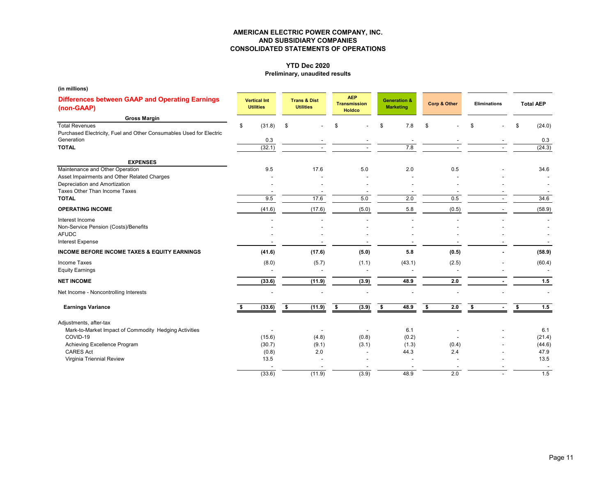# **YTD Dec 2020**

## **Preliminary, unaudited results**

| (in millions)                                                                     |                                         |                                             |                                                    |       |                                             |    |              |                     |    |                  |
|-----------------------------------------------------------------------------------|-----------------------------------------|---------------------------------------------|----------------------------------------------------|-------|---------------------------------------------|----|--------------|---------------------|----|------------------|
| <b>Differences between GAAP and Operating Earnings</b><br>(non-GAAP)              | <b>Vertical Int</b><br><b>Utilities</b> | <b>Trans &amp; Dist</b><br><b>Utilities</b> | <b>AEP</b><br><b>Transmission</b><br><b>Holdco</b> |       | <b>Generation &amp;</b><br><b>Marketing</b> |    | Corp & Other | <b>Eliminations</b> |    | <b>Total AEP</b> |
| <b>Gross Margin</b>                                                               |                                         |                                             |                                                    |       |                                             |    |              |                     |    |                  |
| <b>Total Revenues</b>                                                             | \$<br>(31.8)                            | \$                                          |                                                    |       | \$<br>7.8                                   | \$ |              | \$                  | S  | (24.0)           |
| Purchased Electricity, Fuel and Other Consumables Used for Electric<br>Generation |                                         |                                             |                                                    |       |                                             |    |              |                     |    |                  |
| <b>TOTAL</b>                                                                      | 0.3<br>(32.1)                           |                                             |                                                    |       | 7.8                                         |    |              |                     |    | 0.3<br>(24.3)    |
|                                                                                   |                                         |                                             |                                                    |       |                                             |    |              |                     |    |                  |
| <b>EXPENSES</b>                                                                   |                                         |                                             |                                                    |       |                                             |    |              |                     |    |                  |
| Maintenance and Other Operation                                                   | 9.5                                     | 17.6                                        |                                                    | 5.0   | 2.0                                         |    | 0.5          |                     |    | 34.6             |
| Asset Impairments and Other Related Charges                                       |                                         |                                             |                                                    |       |                                             |    |              |                     |    |                  |
| Depreciation and Amortization                                                     |                                         |                                             |                                                    |       |                                             |    |              |                     |    |                  |
| Taxes Other Than Income Taxes<br><b>TOTAL</b>                                     | 9.5                                     | 17.6                                        |                                                    | 5.0   | 2.0                                         |    | 0.5          |                     |    | 34.6             |
|                                                                                   |                                         |                                             |                                                    |       |                                             |    |              |                     |    |                  |
| <b>OPERATING INCOME</b>                                                           | (41.6)                                  | (17.6)                                      |                                                    | (5.0) | 5.8                                         |    | (0.5)        |                     |    | (58.9)           |
| Interest Income                                                                   |                                         |                                             |                                                    |       |                                             |    |              |                     |    |                  |
| Non-Service Pension (Costs)/Benefits                                              |                                         |                                             |                                                    |       |                                             |    |              |                     |    |                  |
| <b>AFUDC</b><br><b>Interest Expense</b>                                           |                                         |                                             |                                                    |       |                                             |    |              |                     |    |                  |
|                                                                                   |                                         |                                             |                                                    |       |                                             |    |              |                     |    |                  |
| <b>INCOME BEFORE INCOME TAXES &amp; EQUITY EARNINGS</b>                           | (41.6)                                  | (17.6)                                      |                                                    | (5.0) | 5.8                                         |    | (0.5)        |                     |    | (58.9)           |
| Income Taxes                                                                      | (8.0)                                   | (5.7)                                       |                                                    | (1.1) | (43.1)                                      |    | (2.5)        |                     |    | (60.4)           |
| <b>Equity Earnings</b>                                                            |                                         |                                             |                                                    |       |                                             |    |              |                     |    |                  |
| <b>NET INCOME</b>                                                                 | (33.6)                                  | (11.9)                                      |                                                    | (3.9) | 48.9                                        |    | 2.0          |                     |    | 1.5              |
| Net Income - Noncontrolling Interests                                             |                                         |                                             |                                                    |       |                                             |    |              |                     |    |                  |
| <b>Earnings Variance</b>                                                          | (33.6)                                  | \$<br>(11.9)                                | - \$                                               | (3.9) | \$<br>48.9                                  | s. | 2.0          | S.                  | \$ | 1.5              |
| Adjustments, after-tax                                                            |                                         |                                             |                                                    |       |                                             |    |              |                     |    |                  |
| Mark-to-Market Impact of Commodity Hedging Activities                             |                                         |                                             |                                                    |       | 6.1                                         |    |              |                     |    | 6.1              |
| COVID-19                                                                          | (15.6)                                  | (4.8)                                       |                                                    | (0.8) | (0.2)                                       |    |              |                     |    | (21.4)           |
| Achieving Excellence Program                                                      | (30.7)                                  | (9.1)                                       |                                                    | (3.1) | (1.3)                                       |    | (0.4)        |                     |    | (44.6)           |
| <b>CARES Act</b>                                                                  | (0.8)                                   | 2.0                                         |                                                    |       | 44.3                                        |    | 2.4          |                     |    | 47.9             |
| Virginia Triennial Review                                                         | 13.5                                    |                                             |                                                    |       |                                             |    |              |                     |    | 13.5             |
|                                                                                   |                                         |                                             |                                                    |       |                                             |    |              |                     |    |                  |
|                                                                                   | (33.6)                                  | (11.9)                                      |                                                    | (3.9) | 48.9                                        |    | 2.0          |                     |    | 1.5              |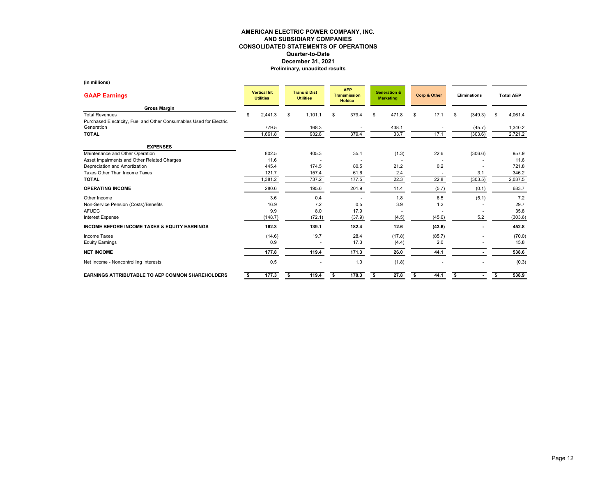| <b>GAAP Earnings</b>                                                | <b>Vertical Int</b><br><b>Utilities</b> |    | <b>Trans &amp; Dist</b><br><b>Utilities</b> |    | <b>AEP</b><br><b>Transmission</b><br><b>Holdco</b> |    | <b>Generation &amp;</b><br><b>Marketing</b> | Corp & Other |        | <b>Eliminations</b> |         | <b>Total AEP</b> |         |
|---------------------------------------------------------------------|-----------------------------------------|----|---------------------------------------------|----|----------------------------------------------------|----|---------------------------------------------|--------------|--------|---------------------|---------|------------------|---------|
| <b>Gross Margin</b>                                                 |                                         |    |                                             |    |                                                    |    |                                             |              |        |                     |         |                  |         |
| <b>Total Revenues</b>                                               | \$<br>2,441.3                           | \$ | 1,101.1                                     | \$ | 379.4                                              | \$ | 471.8                                       | \$           | 17.1   | \$                  | (349.3) | £.               | 4,061.4 |
| Purchased Electricity, Fuel and Other Consumables Used for Electric |                                         |    |                                             |    |                                                    |    |                                             |              |        |                     |         |                  |         |
| Generation                                                          | 779.5                                   |    | 168.3                                       |    |                                                    |    | 438.1                                       |              |        |                     | (45.7)  |                  | 1,340.2 |
| <b>TOTAL</b>                                                        | 1,661.8                                 |    | 932.8                                       |    | 379.4                                              |    | 33.7                                        |              | 17.1   |                     | (303.6) |                  | 2,721.2 |
| <b>EXPENSES</b>                                                     |                                         |    |                                             |    |                                                    |    |                                             |              |        |                     |         |                  |         |
| Maintenance and Other Operation                                     | 802.5                                   |    | 405.3                                       |    | 35.4                                               |    | (1.3)                                       |              | 22.6   |                     | (306.6) |                  | 957.9   |
| Asset Impairments and Other Related Charges                         | 11.6                                    |    |                                             |    |                                                    |    |                                             |              |        |                     |         |                  | 11.6    |
| Depreciation and Amortization                                       | 445.4                                   |    | 174.5                                       |    | 80.5                                               |    | 21.2                                        |              | 0.2    |                     |         |                  | 721.8   |
| Taxes Other Than Income Taxes                                       | 121.7                                   |    | 157.4                                       |    | 61.6                                               |    | 2.4                                         |              |        |                     | 3.1     |                  | 346.2   |
| <b>TOTAL</b>                                                        | 1,381.2                                 |    | 737.2                                       |    | 177.5                                              |    | 22.3                                        |              | 22.8   |                     | (303.5) |                  | 2,037.5 |
| <b>OPERATING INCOME</b>                                             | 280.6                                   |    | 195.6                                       |    | 201.9                                              |    | 11.4                                        |              | (5.7)  |                     | (0.1)   |                  | 683.7   |
| Other Income                                                        | 3.6                                     |    | 0.4                                         |    |                                                    |    | 1.8                                         |              | 6.5    |                     | (5.1)   |                  | 7.2     |
| Non-Service Pension (Costs)/Benefits                                | 16.9                                    |    | 7.2                                         |    | 0.5                                                |    | 3.9                                         |              | 1.2    |                     |         |                  | 29.7    |
| <b>AFUDC</b>                                                        | 9.9                                     |    | 8.0                                         |    | 17.9                                               |    |                                             |              |        |                     |         |                  | 35.8    |
| <b>Interest Expense</b>                                             | (148.7)                                 |    | (72.1)                                      |    | (37.9)                                             |    | (4.5)                                       |              | (45.6) |                     | 5.2     |                  | (303.6) |
| <b>INCOME BEFORE INCOME TAXES &amp; EQUITY EARNINGS</b>             | 162.3                                   |    | 139.1                                       |    | 182.4                                              |    | 12.6                                        |              | (43.6) |                     |         |                  | 452.8   |
| <b>Income Taxes</b>                                                 | (14.6)                                  |    | 19.7                                        |    | 28.4                                               |    | (17.8)                                      |              | (85.7) |                     |         |                  | (70.0)  |
| <b>Equity Earnings</b>                                              | 0.9                                     |    |                                             |    | 17.3                                               |    | (4.4)                                       |              | 2.0    |                     |         |                  | 15.8    |
| <b>NET INCOME</b>                                                   | 177.8                                   |    | 119.4                                       |    | 171.3                                              |    | 26.0                                        |              | 44.1   |                     |         |                  | 538.6   |
| Net Income - Noncontrolling Interests                               | 0.5                                     |    |                                             |    | 1.0                                                |    | (1.8)                                       |              |        |                     |         |                  | (0.3)   |
| <b>EARNINGS ATTRIBUTABLE TO AEP COMMON SHAREHOLDERS</b>             | 177.3                                   |    | 119.4                                       |    | 170.3                                              |    | 27.8                                        | \$           | 44.1   | \$                  |         | \$               | 538.9   |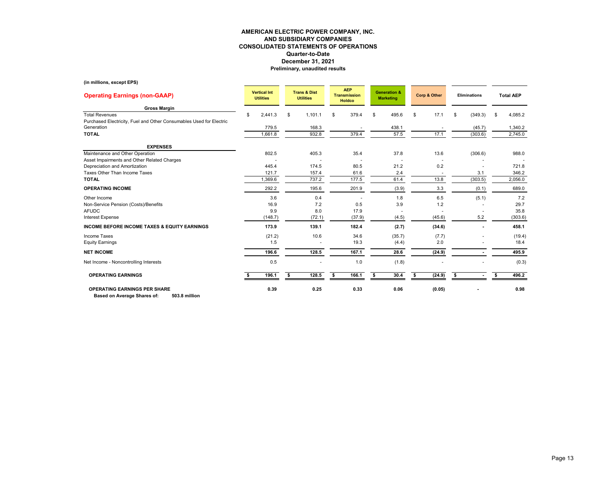#### **(in millions, except EPS)**

| <b>Operating Earnings (non-GAAP)</b>                                                         | <b>Vertical Int</b><br><b>Utilities</b> |         |    | <b>Trans &amp; Dist</b><br><b>Utilities</b> |    | <b>AEP</b><br><b>Transmission</b><br><b>Holdco</b> |     | <b>Generation &amp;</b><br><b>Marketing</b> |    | Corp & Other | <b>Eliminations</b>  |      | <b>Total AEP</b> |
|----------------------------------------------------------------------------------------------|-----------------------------------------|---------|----|---------------------------------------------|----|----------------------------------------------------|-----|---------------------------------------------|----|--------------|----------------------|------|------------------|
| <b>Gross Margin</b>                                                                          |                                         |         |    |                                             |    |                                                    |     |                                             |    |              |                      |      |                  |
| <b>Total Revenues</b><br>Purchased Electricity, Fuel and Other Consumables Used for Electric | \$                                      | 2,441.3 | \$ | 1,101.1                                     | \$ | 379.4                                              | \$. | 495.6                                       | \$ | 17.1         | \$<br>(349.3)        | \$   | 4,085.2          |
| Generation                                                                                   |                                         | 779.5   |    | 168.3                                       |    |                                                    |     | 438.1                                       |    |              | (45.7)               |      | 1,340.2          |
| <b>TOTAL</b>                                                                                 |                                         | 1,661.8 |    | 932.8                                       |    | 379.4                                              |     | 57.5                                        |    | 17.1         | (303.6)              |      | 2,745.0          |
| <b>EXPENSES</b>                                                                              |                                         |         |    |                                             |    |                                                    |     |                                             |    |              |                      |      |                  |
| Maintenance and Other Operation                                                              |                                         | 802.5   |    | 405.3                                       |    | 35.4                                               |     | 37.8                                        |    | 13.6         | (306.6)              |      | 988.0            |
| Asset Impairments and Other Related Charges                                                  |                                         |         |    |                                             |    |                                                    |     |                                             |    |              |                      |      |                  |
| Depreciation and Amortization                                                                |                                         | 445.4   |    | 174.5                                       |    | 80.5                                               |     | 21.2                                        |    | 0.2          |                      |      | 721.8            |
| Taxes Other Than Income Taxes                                                                |                                         | 121.7   |    | 157.4                                       |    | 61.6                                               |     | 2.4                                         |    |              | 3.1                  |      | 346.2            |
| <b>TOTAL</b>                                                                                 |                                         | 1,369.6 |    | 737.2                                       |    | 177.5                                              |     | 61.4                                        |    | 13.8         | (303.5)              |      | 2,056.0          |
| <b>OPERATING INCOME</b>                                                                      |                                         | 292.2   |    | 195.6                                       |    | 201.9                                              |     | (3.9)                                       |    | 3.3          | (0.1)                |      | 689.0            |
| Other Income                                                                                 |                                         | 3.6     |    | 0.4                                         |    |                                                    |     | 1.8                                         |    | 6.5          | (5.1)                |      | 7.2              |
| Non-Service Pension (Costs)/Benefits                                                         |                                         | 16.9    |    | 7.2                                         |    | 0.5                                                |     | 3.9                                         |    | 1.2          |                      |      | 29.7             |
| <b>AFUDC</b>                                                                                 |                                         | 9.9     |    | 8.0                                         |    | 17.9                                               |     |                                             |    |              |                      |      | 35.8             |
| Interest Expense                                                                             |                                         | (148.7) |    | (72.1)                                      |    | (37.9)                                             |     | (4.5)                                       |    | (45.6)       | 5.2                  |      | (303.6)          |
| <b>INCOME BEFORE INCOME TAXES &amp; EQUITY EARNINGS</b>                                      |                                         | 173.9   |    | 139.1                                       |    | 182.4                                              |     | (2.7)                                       |    | (34.6)       |                      |      | 458.1            |
| Income Taxes                                                                                 |                                         | (21.2)  |    | 10.6                                        |    | 34.6                                               |     | (35.7)                                      |    | (7.7)        |                      |      | (19.4)           |
| <b>Equity Earnings</b>                                                                       |                                         | 1.5     |    |                                             |    | 19.3                                               |     | (4.4)                                       |    | 2.0          |                      |      | 18.4             |
| <b>NET INCOME</b>                                                                            |                                         | 196.6   |    | 128.5                                       |    | 167.1                                              |     | 28.6                                        |    | (24.9)       |                      |      | 495.9            |
| Net Income - Noncontrolling Interests                                                        |                                         | 0.5     |    |                                             |    | 1.0                                                |     | (1.8)                                       |    |              |                      |      | (0.3)            |
| <b>OPERATING EARNINGS</b>                                                                    |                                         | 196.1   | £. | 128.5                                       | \$ | 166.1                                              |     | 30.4                                        | £. | (24.9)       | \$<br>$\blacksquare$ | - \$ | 496.2            |
| <b>OPERATING EARNINGS PER SHARE</b><br>503.8 million<br>Based on Average Shares of:          |                                         | 0.39    |    | 0.25                                        |    | 0.33                                               |     | 0.06                                        |    | (0.05)       |                      |      | 0.98             |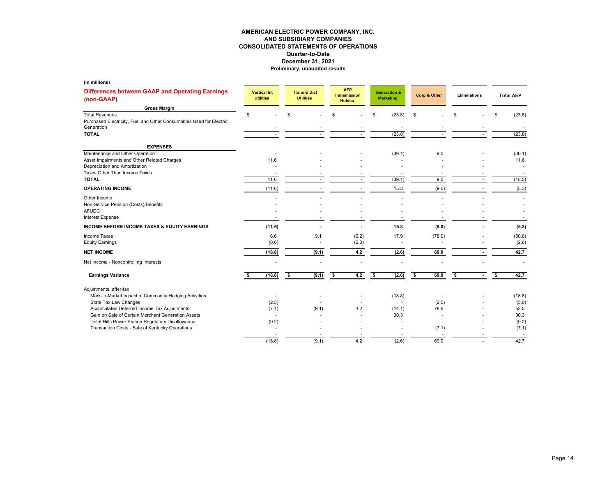| (in millions)                                                                                              |    |                                         |                                             |                                                    |                                             |               |                     |    |                  |
|------------------------------------------------------------------------------------------------------------|----|-----------------------------------------|---------------------------------------------|----------------------------------------------------|---------------------------------------------|---------------|---------------------|----|------------------|
| Differences between GAAP and Operating Earnings<br>(non-GAAP)                                              |    | <b>Vertical Int</b><br><b>Utilities</b> | <b>Trans &amp; Dist</b><br><b>Utilities</b> | <b>AEP</b><br><b>Transmission</b><br><b>Holdco</b> | <b>Generation &amp;</b><br><b>Marketing</b> | Corp & Other  | <b>Eliminations</b> |    | <b>Total AEP</b> |
| <b>Gross Margin</b>                                                                                        |    |                                         |                                             |                                                    |                                             |               |                     |    |                  |
| <b>Total Revenues</b><br>Purchased Electricity, Fuel and Other Consumables Used for Electric<br>Generation | \$ |                                         | \$                                          | \$                                                 | \$<br>(23.8)                                | \$            |                     | \$ | (23.8)           |
| <b>TOTAL</b>                                                                                               |    |                                         |                                             |                                                    | (23.8)                                      |               |                     |    | (23.8)           |
| <b>EXPENSES</b>                                                                                            |    |                                         |                                             |                                                    |                                             |               |                     |    |                  |
| Maintenance and Other Operation<br>Asset Impairments and Other Related Charges                             |    | 11.6                                    |                                             |                                                    | (39.1)                                      | 9.0           |                     |    | (30.1)<br>11.6   |
| Depreciation and Amortization                                                                              |    |                                         |                                             |                                                    |                                             |               |                     |    |                  |
| Taxes Other Than Income Taxes<br><b>TOTAL</b>                                                              |    | 11.6                                    |                                             |                                                    | (39.1)                                      | 9.0           |                     |    | (18.5)           |
| <b>OPERATING INCOME</b>                                                                                    |    | (11.6)                                  |                                             |                                                    | 15.3                                        | (9.0)         |                     |    | (5.3)            |
| Other Income<br>Non-Service Pension (Costs)/Benefits                                                       |    |                                         |                                             |                                                    |                                             |               |                     |    |                  |
| <b>AFUDC</b><br><b>Interest Expense</b>                                                                    |    |                                         |                                             |                                                    |                                             |               |                     |    |                  |
| <b>INCOME BEFORE INCOME TAXES &amp; EQUITY EARNINGS</b>                                                    |    | (11.6)                                  |                                             |                                                    | 15.3                                        | (9.0)         |                     |    | (5.3)            |
| Income Taxes<br><b>Equity Earnings</b>                                                                     |    | 6.6<br>(0.6)                            | 9.1                                         | (6.2)<br>(2.0)                                     | 17.9                                        | (78.0)        |                     |    | (50.6)<br>(2.6)  |
| <b>NET INCOME</b>                                                                                          |    | (18.8)                                  | (9.1)                                       | $4.2\,$                                            | (2.6)                                       | 69.0          |                     |    | 42.7             |
| Net Income - Noncontrolling Interests                                                                      |    |                                         |                                             |                                                    |                                             |               |                     |    |                  |
| <b>Earnings Variance</b>                                                                                   | s  | (18.8)                                  | \$<br>(9.1)                                 | \$<br>4.2                                          | \$<br>(2.6)                                 | \$<br>69.0    | \$                  | \$ | 42.7             |
| Adjustments, after-tax                                                                                     |    |                                         |                                             |                                                    |                                             |               |                     |    |                  |
| Mark-to-Market Impact of Commodity Hedging Activities                                                      |    |                                         |                                             |                                                    | (18.8)                                      |               |                     |    | (18.8)           |
| State Tax Law Changes<br>Accumulated Deferred Income Tax Adjustments                                       |    | (2.5)<br>(7.1)                          | (9.1)                                       | 4.2                                                | (14.1)                                      | (2.5)<br>78.6 |                     |    | (5.0)<br>52.5    |
| Gain on Sale of Certain Merchant Generation Assets                                                         |    | $\overline{a}$                          |                                             |                                                    | 30.3                                        |               |                     |    | 30.3             |
| Dolet Hills Power Station Regulatory Disallowance                                                          |    | (9.2)                                   |                                             |                                                    |                                             |               |                     |    | (9.2)            |
| Transaction Costs - Sale of Kentucky Operations                                                            |    | ٠                                       |                                             |                                                    |                                             | (7.1)         |                     |    | (7.1)            |
|                                                                                                            |    | (18.8)                                  | (9.1)                                       | 4.2                                                | (2.6)                                       | 69.0          |                     |    | 42.7             |
|                                                                                                            |    |                                         |                                             |                                                    |                                             |               |                     |    |                  |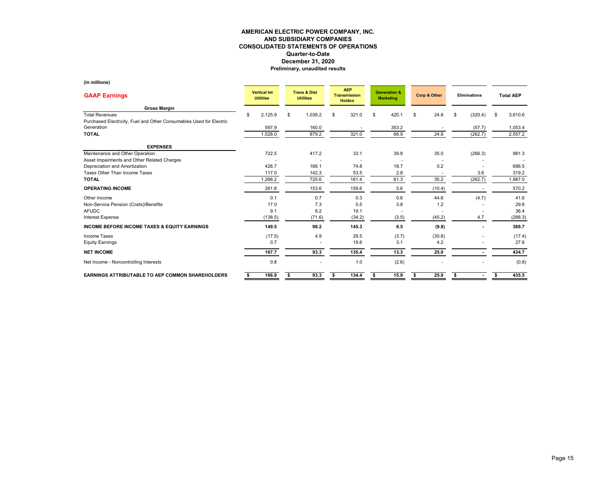| <b>GAAP Earnings</b>                                                | <b>Vertical Int</b><br><b>Utilities</b> |         |    | <b>Trans &amp; Dist</b><br><b>Utilities</b> |    | <b>AEP</b><br><b>Transmission</b><br><b>Holdco</b> |    | <b>Generation &amp;</b><br><b>Marketing</b> |    | Corp & Other | <b>Eliminations</b> |         | <b>Total AEP</b> |
|---------------------------------------------------------------------|-----------------------------------------|---------|----|---------------------------------------------|----|----------------------------------------------------|----|---------------------------------------------|----|--------------|---------------------|---------|------------------|
| <b>Gross Margin</b>                                                 |                                         |         |    |                                             |    |                                                    |    |                                             |    |              |                     |         |                  |
| <b>Total Revenues</b>                                               | 2,125.9<br>\$                           |         | \$ | 1,039.2                                     | \$ | 321.0                                              | \$ | 420.1                                       | \$ | 24.8         | \$                  | (320.4) | \$<br>3,610.6    |
| Purchased Electricity, Fuel and Other Consumables Used for Electric |                                         |         |    |                                             |    |                                                    |    |                                             |    |              |                     |         |                  |
| Generation                                                          | 597.9                                   |         |    | 160.0                                       |    |                                                    |    | 353.2                                       |    |              |                     | (57.7)  | 1,053.4          |
| <b>TOTAL</b>                                                        | 1,528.0                                 |         |    | 879.2                                       |    | 321.0                                              |    | 66.9                                        |    | 24.8         |                     | (262.7) | 2,557.2          |
| <b>EXPENSES</b>                                                     |                                         |         |    |                                             |    |                                                    |    |                                             |    |              |                     |         |                  |
| Maintenance and Other Operation                                     | 722.5                                   |         |    | 417.2                                       |    | 33.1                                               |    | 39.8                                        |    | 35.0         |                     | (266.3) | 981.3            |
| Asset Impairments and Other Related Charges                         |                                         |         |    |                                             |    |                                                    |    |                                             |    |              |                     |         |                  |
| Depreciation and Amortization                                       | 426.7                                   |         |    | 166.1                                       |    | 74.8                                               |    | 18.7                                        |    | 0.2          |                     |         | 686.5            |
| Taxes Other Than Income Taxes                                       | 117.0                                   |         |    | 142.3                                       |    | 53.5                                               |    | 2.8                                         |    |              |                     | 3.6     | 319.2            |
| <b>TOTAL</b>                                                        | 1,266.2                                 |         |    | 725.6                                       |    | 161.4                                              |    | 61.3                                        |    | 35.2         |                     | (262.7) | 1,987.0          |
| <b>OPERATING INCOME</b>                                             | 261.8                                   |         |    | 153.6                                       |    | 159.6                                              |    | 5.6                                         |    | (10.4)       |                     |         | 570.2            |
| Other Income                                                        |                                         | 0.1     |    | 0.7                                         |    | 0.3                                                |    | 0.6                                         |    | 44.6         |                     | (4.7)   | 41.6             |
| Non-Service Pension (Costs)/Benefits                                |                                         | 17.0    |    | 7.3                                         |    | 0.5                                                |    | 3.8                                         |    | 1.2          |                     |         | 29.8             |
| <b>AFUDC</b>                                                        |                                         | 9.1     |    | 8.2                                         |    | 19.1                                               |    |                                             |    |              |                     |         | 36.4             |
| <b>Interest Expense</b>                                             |                                         | (138.5) |    | (71.6)                                      |    | (34.2)                                             |    | (3.5)                                       |    | (45.2)       |                     | 4.7     | (288.3)          |
| <b>INCOME BEFORE INCOME TAXES &amp; EQUITY EARNINGS</b>             | 149.5                                   |         |    | 98.2                                        |    | 145.3                                              |    | 6.5                                         |    | (9.8)        |                     | ٠       | 389.7            |
| <b>Income Taxes</b>                                                 |                                         | (17.5)  |    | 4.9                                         |    | 29.5                                               |    | (3.7)                                       |    | (30.6)       |                     |         | (17.4)           |
| <b>Equity Earnings</b>                                              |                                         | 0.7     |    |                                             |    | 19.6                                               |    | 3.1                                         |    | 4.2          |                     |         | 27.6             |
| <b>NET INCOME</b>                                                   | 167.7                                   |         |    | 93.3                                        |    | 135.4                                              |    | 13.3                                        |    | 25.0         |                     |         | 434.7            |
| Net Income - Noncontrolling Interests                               |                                         | 0.8     |    |                                             |    | 1.0                                                |    | (2.6)                                       |    |              |                     |         | (0.8)            |
| <b>EARNINGS ATTRIBUTABLE TO AEP COMMON SHAREHOLDERS</b>             | 166.9<br>s.                             |         | \$ | 93.3                                        | \$ | 134.4                                              | \$ | 15.9                                        | \$ | 25.0         | s                   |         | \$<br>435.5      |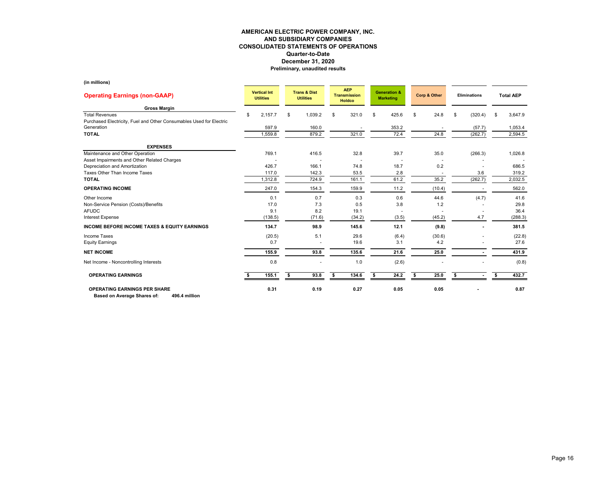| <b>Operating Earnings (non-GAAP)</b>                                                         | <b>Vertical Int</b><br><b>Utilities</b> |    | <b>Trans &amp; Dist</b><br><b>Utilities</b> | <b>AEP</b><br><b>Transmission</b><br><b>Holdco</b> | <b>Generation &amp;</b><br><b>Marketing</b> |      | Corp & Other |    | Eliminations |     | <b>Total AEP</b> |
|----------------------------------------------------------------------------------------------|-----------------------------------------|----|---------------------------------------------|----------------------------------------------------|---------------------------------------------|------|--------------|----|--------------|-----|------------------|
| <b>Gross Margin</b>                                                                          |                                         |    |                                             |                                                    |                                             |      |              |    |              |     |                  |
| <b>Total Revenues</b><br>Purchased Electricity, Fuel and Other Consumables Used for Electric | \$<br>2,157.7                           | \$ | 1,039.2                                     | \$<br>321.0                                        | \$<br>425.6                                 | \$   | 24.8         | \$ | (320.4)      | \$. | 3,647.9          |
| Generation                                                                                   | 597.9                                   |    | 160.0                                       |                                                    | 353.2                                       |      |              |    | (57.7)       |     | 1,053.4          |
| <b>TOTAL</b>                                                                                 | 1,559.8                                 |    | 879.2                                       | 321.0                                              | 72.4                                        |      | 24.8         |    | (262.7)      |     | 2,594.5          |
| <b>EXPENSES</b>                                                                              |                                         |    |                                             |                                                    |                                             |      |              |    |              |     |                  |
| Maintenance and Other Operation                                                              | 769.1                                   |    | 416.5                                       | 32.8                                               | 39.7                                        |      | 35.0         |    | (266.3)      |     | 1,026.8          |
| Asset Impairments and Other Related Charges                                                  |                                         |    |                                             |                                                    |                                             |      |              |    |              |     |                  |
| Depreciation and Amortization                                                                | 426.7                                   |    | 166.1                                       | 74.8                                               | 18.7                                        |      | 0.2          |    |              |     | 686.5            |
| Taxes Other Than Income Taxes                                                                | 117.0                                   |    | 142.3                                       | 53.5                                               | 2.8                                         |      |              |    | 3.6          |     | 319.2            |
| <b>TOTAL</b>                                                                                 | 1,312.8                                 |    | 724.9                                       | 161.1                                              | 61.2                                        |      | 35.2         |    | (262.7)      |     | 2,032.5          |
| <b>OPERATING INCOME</b>                                                                      | 247.0                                   |    | 154.3                                       | 159.9                                              | 11.2                                        |      | (10.4)       |    |              |     | 562.0            |
| Other Income                                                                                 | 0.1                                     |    | 0.7                                         | 0.3                                                | 0.6                                         |      | 44.6         |    | (4.7)        |     | 41.6             |
| Non-Service Pension (Costs)/Benefits                                                         | 17.0                                    |    | 7.3                                         | 0.5                                                | 3.8                                         |      | 1.2          |    |              |     | 29.8             |
| <b>AFUDC</b>                                                                                 | 9.1                                     |    | 8.2                                         | 19.1                                               |                                             |      |              |    |              |     | 36.4             |
| <b>Interest Expense</b>                                                                      | (138.5)                                 |    | (71.6)                                      | (34.2)                                             | (3.5)                                       |      | (45.2)       |    | 4.7          |     | (288.3)          |
| <b>INCOME BEFORE INCOME TAXES &amp; EQUITY EARNINGS</b>                                      | 134.7                                   |    | 98.9                                        | 145.6                                              | 12.1                                        |      | (9.8)        |    |              |     | 381.5            |
| Income Taxes                                                                                 | (20.5)                                  |    | 5.1                                         | 29.6                                               | (6.4)                                       |      | (30.6)       |    |              |     | (22.8)           |
| <b>Equity Earnings</b>                                                                       | 0.7                                     |    |                                             | 19.6                                               | 3.1                                         |      | 4.2          |    |              |     | 27.6             |
| <b>NET INCOME</b>                                                                            | 155.9                                   |    | 93.8                                        | 135.6                                              | 21.6                                        |      | 25.0         |    |              |     | 431.9            |
| Net Income - Noncontrolling Interests                                                        | 0.8                                     |    |                                             | 1.0                                                | (2.6)                                       |      |              |    |              |     | (0.8)            |
| <b>OPERATING EARNINGS</b>                                                                    | 155.1                                   | £. | 93.8                                        | \$<br>134.6                                        | 24.2                                        | - \$ | 25.0         | s. |              | -96 | 432.7            |
| <b>OPERATING EARNINGS PER SHARE</b><br>Based on Average Shares of:<br>496.4 million          | 0.31                                    |    | 0.19                                        | 0.27                                               | 0.05                                        |      | 0.05         |    |              |     | 0.87             |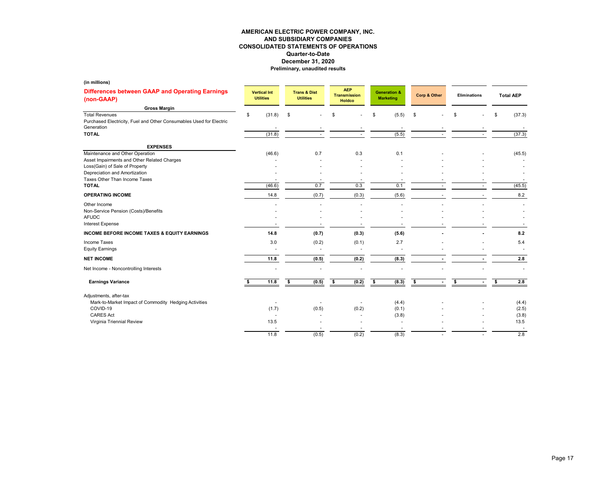| (in millions)                                                                                              |                                         |                                             |       |                                                    |       |                                             |                |              |        |                     |                  |
|------------------------------------------------------------------------------------------------------------|-----------------------------------------|---------------------------------------------|-------|----------------------------------------------------|-------|---------------------------------------------|----------------|--------------|--------|---------------------|------------------|
| Differences between GAAP and Operating Earnings<br>(non-GAAP)                                              | <b>Vertical Int</b><br><b>Utilities</b> | <b>Trans &amp; Dist</b><br><b>Utilities</b> |       | <b>AEP</b><br><b>Transmission</b><br><b>Holdco</b> |       | <b>Generation &amp;</b><br><b>Marketing</b> |                | Corp & Other |        | <b>Eliminations</b> | <b>Total AEP</b> |
| <b>Gross Margin</b>                                                                                        |                                         |                                             |       |                                                    |       |                                             |                |              |        |                     |                  |
| <b>Total Revenues</b><br>Purchased Electricity, Fuel and Other Consumables Used for Electric<br>Generation | \$<br>(31.8)                            | \$                                          |       | \$                                                 |       | \$                                          | (5.5)          | \$           |        | \$                  | \$<br>(37.3)     |
| <b>TOTAL</b>                                                                                               | (31.8)                                  |                                             |       |                                                    |       |                                             | (5.5)          |              |        |                     | (37.3)           |
|                                                                                                            |                                         |                                             |       |                                                    |       |                                             |                |              |        |                     |                  |
| <b>EXPENSES</b><br>Maintenance and Other Operation                                                         |                                         |                                             | 0.7   |                                                    | 0.3   |                                             | 0.1            |              |        |                     |                  |
| Asset Impairments and Other Related Charges                                                                | (46.6)                                  |                                             |       |                                                    |       |                                             |                |              |        |                     | (45.5)           |
| Loss(Gain) of Sale of Property                                                                             |                                         |                                             |       |                                                    |       |                                             |                |              |        |                     |                  |
| Depreciation and Amortization                                                                              |                                         |                                             |       |                                                    |       |                                             |                |              |        |                     |                  |
| Taxes Other Than Income Taxes                                                                              |                                         |                                             |       |                                                    |       |                                             |                |              |        |                     |                  |
| <b>TOTAL</b>                                                                                               | (46.6)                                  |                                             | 0.7   |                                                    | 0.3   |                                             | 0.1            |              |        |                     | (45.5)           |
| <b>OPERATING INCOME</b>                                                                                    | 14.8                                    |                                             | (0.7) |                                                    | (0.3) |                                             | (5.6)          |              |        |                     | 8.2              |
| Other Income                                                                                               |                                         |                                             |       |                                                    |       |                                             |                |              |        |                     |                  |
| Non-Service Pension (Costs)/Benefits                                                                       |                                         |                                             |       |                                                    |       |                                             |                |              |        |                     |                  |
| <b>AFUDC</b>                                                                                               |                                         |                                             |       |                                                    |       |                                             |                |              |        |                     |                  |
| <b>Interest Expense</b>                                                                                    |                                         |                                             |       |                                                    |       |                                             |                |              |        |                     |                  |
| <b>INCOME BEFORE INCOME TAXES &amp; EQUITY EARNINGS</b>                                                    | 14.8                                    |                                             | (0.7) |                                                    | (0.3) |                                             | (5.6)          |              |        |                     | 8.2              |
| Income Taxes                                                                                               | 3.0                                     |                                             | (0.2) |                                                    | (0.1) |                                             | 2.7            |              |        |                     | 5.4              |
| <b>Equity Earnings</b>                                                                                     |                                         |                                             |       |                                                    |       |                                             |                |              |        |                     |                  |
| <b>NET INCOME</b>                                                                                          | 11.8                                    |                                             | (0.5) |                                                    | (0.2) |                                             | (8.3)          |              |        |                     | 2.8              |
| Net Income - Noncontrolling Interests                                                                      |                                         |                                             |       |                                                    |       |                                             |                |              |        |                     |                  |
| <b>Earnings Variance</b>                                                                                   | 11.8                                    | \$                                          | (0.5) | \$                                                 | (0.2) | \$                                          | (8.3)          | \$           | $\sim$ | \$<br>$\sim$        | \$<br>2.8        |
| Adjustments, after-tax                                                                                     |                                         |                                             |       |                                                    |       |                                             |                |              |        |                     |                  |
| Mark-to-Market Impact of Commodity Hedging Activities                                                      |                                         |                                             |       |                                                    |       |                                             | (4.4)          |              |        |                     | (4.4)            |
| COVID-19                                                                                                   | (1.7)                                   |                                             | (0.5) |                                                    | (0.2) |                                             | (0.1)          |              |        |                     | (2.5)            |
| <b>CARES Act</b>                                                                                           |                                         |                                             |       |                                                    |       |                                             | (3.8)          |              |        |                     | (3.8)            |
| Virginia Triennial Review                                                                                  | 13.5                                    |                                             |       |                                                    |       |                                             | $\overline{a}$ |              |        |                     | 13.5             |
|                                                                                                            | 11.8                                    |                                             | (0.5) |                                                    | (0.2) |                                             | (8.3)          |              |        |                     | 2.8              |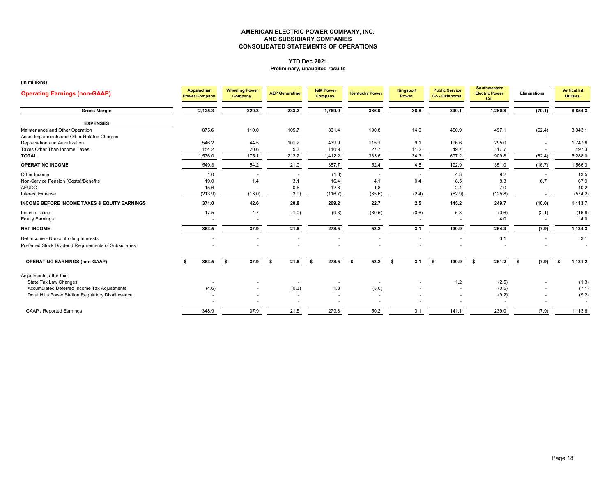#### **YTD Dec 2021Preliminary, unaudited results**

| <b>Operating Earnings (non-GAAP)</b>                    | Appalachian<br><b>Power Company</b> | <b>Wheeling Power</b><br>Company | <b>AEP Generating</b>    | <b>I&amp;M Power</b><br>Company | <b>Kentucky Power</b> | Kingsport<br>Power       | <b>Public Service</b><br>Co - Oklahoma | <b>Southwestern</b><br><b>Electric Power</b><br>Co. | Eliminations | <b>Vertical Int</b><br><b>Utilities</b> |
|---------------------------------------------------------|-------------------------------------|----------------------------------|--------------------------|---------------------------------|-----------------------|--------------------------|----------------------------------------|-----------------------------------------------------|--------------|-----------------------------------------|
| <b>Gross Margin</b>                                     | 2,125.3                             | 229.3                            | 233.2                    | 1,769.9                         | 386.0                 | 38.8                     | 890.1                                  | 1,260.8                                             | (79.1)       | 6,854.3                                 |
| <b>EXPENSES</b>                                         |                                     |                                  |                          |                                 |                       |                          |                                        |                                                     |              |                                         |
| Maintenance and Other Operation                         | 875.6                               | 110.0                            | 105.7                    | 861.4                           | 190.8                 | 14.0                     | 450.9                                  | 497.1                                               | (62.4)       | 3,043.1                                 |
| Asset Impairments and Other Related Charges             |                                     |                                  | $\overline{\phantom{a}}$ |                                 |                       | $\sim$                   |                                        |                                                     |              |                                         |
| Depreciation and Amortization                           | 546.2                               | 44.5                             | 101.2                    | 439.9                           | 115.1                 | 9.1                      | 196.6                                  | 295.0                                               |              | 1,747.6                                 |
| Taxes Other Than Income Taxes                           | 154.2                               | 20.6                             | 5.3                      | 110.9                           | 27.7                  | 11.2                     | 49.7                                   | 117.7                                               |              | 497.3                                   |
| <b>TOTAL</b>                                            | 1,576.0                             | 175.1                            | 212.2                    | 1,412.2                         | 333.6                 | 34.3                     | 697.2                                  | 909.8                                               | (62.4)       | 5,288.0                                 |
| <b>OPERATING INCOME</b>                                 | 549.3                               | 54.2                             | 21.0                     | 357.7                           | 52.4                  | 4.5                      | 192.9                                  | 351.0                                               | (16.7)       | 1,566.3                                 |
| Other Income                                            | 1.0                                 |                                  | $\overline{\phantom{a}}$ | (1.0)                           |                       | $\sim$                   | 4.3                                    | 9.2                                                 |              | 13.5                                    |
| Non-Service Pension (Costs)/Benefits                    | 19.0                                | 1.4                              | 3.1                      | 16.4                            | 4.1                   | 0.4                      | 8.5                                    | 8.3                                                 | 6.7          | 67.9                                    |
| <b>AFUDC</b>                                            | 15.6                                |                                  | 0.6                      | 12.8                            | 1.8                   |                          | 2.4                                    | 7.0                                                 |              | 40.2                                    |
| <b>Interest Expense</b>                                 | (213.9)                             | (13.0)                           | (3.9)                    | (116.7)                         | (35.6)                | (2.4)                    | (62.9)                                 | (125.8)                                             |              | (574.2)                                 |
| <b>INCOME BEFORE INCOME TAXES &amp; EQUITY EARNINGS</b> | 371.0                               | 42.6                             | 20.8                     | 269.2                           | 22.7                  | 2.5                      | 145.2                                  | 249.7                                               | (10.0)       | 1,113.7                                 |
| Income Taxes                                            | 17.5                                | 4.7                              | (1.0)                    | (9.3)                           | (30.5)                | (0.6)                    | 5.3                                    | (0.6)                                               | (2.1)        | (16.6)                                  |
| <b>Equity Earnings</b>                                  | $\overline{\phantom{a}}$            |                                  | $\overline{\phantom{a}}$ | $\overline{\phantom{a}}$        |                       | $\overline{\phantom{a}}$ |                                        | 4.0                                                 |              | 4.0                                     |
| <b>NET INCOME</b>                                       | 353.5                               | 37.9                             | 21.8                     | 278.5                           | 53.2                  | 3.1                      | 139.9                                  | 254.3                                               | (7.9)        | 1,134.3                                 |
| Net Income - Noncontrolling Interests                   |                                     |                                  |                          |                                 |                       |                          |                                        | 3.1                                                 |              | 3.1                                     |
| Preferred Stock Dividend Requirements of Subsidiaries   |                                     |                                  |                          |                                 |                       |                          |                                        |                                                     |              |                                         |
| <b>OPERATING EARNINGS (non-GAAP)</b>                    | 353.5                               | 37.9<br>S.                       | 21.8<br>s.               | 278.5<br>-\$                    | 53.2<br>\$            | 3.1<br>- \$              | 139.9<br>s.                            | 251.2<br>s.                                         | (7.9)<br>-S  | 1,131.2<br>\$                           |
|                                                         |                                     |                                  |                          |                                 |                       |                          |                                        |                                                     |              |                                         |
| Adjustments, after-tax                                  |                                     |                                  |                          |                                 |                       |                          |                                        |                                                     |              |                                         |
| State Tax Law Changes                                   |                                     |                                  | $\overline{\phantom{a}}$ |                                 |                       |                          | 1.2                                    | (2.5)                                               |              | (1.3)                                   |
| Accumulated Deferred Income Tax Adjustments             | (4.6)                               |                                  | (0.3)                    | 1.3                             | (3.0)                 |                          |                                        | (0.5)                                               |              | (7.1)                                   |
| Dolet Hills Power Station Regulatory Disallowance       |                                     |                                  | $\sim$                   | $\overline{\phantom{a}}$        |                       |                          |                                        | (9.2)                                               |              | (9.2)                                   |
|                                                         |                                     |                                  | ٠                        |                                 |                       |                          |                                        |                                                     |              |                                         |
| <b>GAAP / Reported Earnings</b>                         | 348.9                               | 37.9                             | 21.5                     | 279.8                           | 50.2                  | 3.1                      | 141.1                                  | 239.0                                               | (7.9)        | 1,113.6                                 |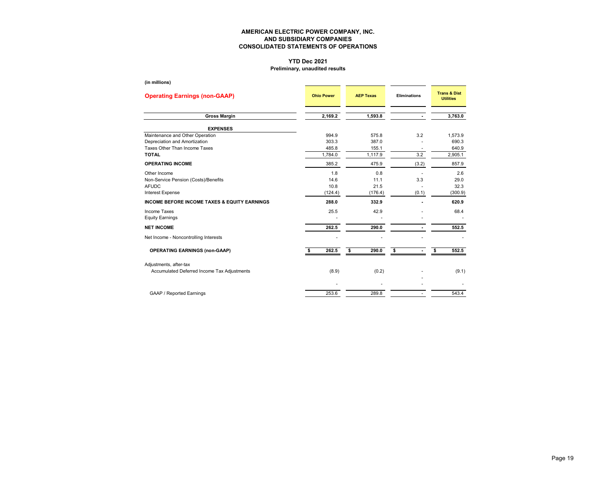# **YTD Dec 2021**

### **Preliminary, unaudited results**

| (in millions)                                           |                   |                  |                     |                                             |
|---------------------------------------------------------|-------------------|------------------|---------------------|---------------------------------------------|
| <b>Operating Earnings (non-GAAP)</b>                    | <b>Ohio Power</b> | <b>AEP Texas</b> | <b>Eliminations</b> | <b>Trans &amp; Dist</b><br><b>Utilities</b> |
| <b>Gross Margin</b>                                     | 2,169.2           | 1,593.8          | $\blacksquare$      | 3,763.0                                     |
| <b>EXPENSES</b>                                         |                   |                  |                     |                                             |
| Maintenance and Other Operation                         | 994.9             | 575.8            | 3.2                 | 1,573.9                                     |
| Depreciation and Amortization                           | 303.3             | 387.0            |                     | 690.3                                       |
| Taxes Other Than Income Taxes                           | 485.8             | 155.1            |                     | 640.9                                       |
| <b>TOTAL</b>                                            | 1,784.0           | 1,117.9          | 3.2                 | 2,905.1                                     |
| <b>OPERATING INCOME</b>                                 | 385.2             | 475.9            | (3.2)               | 857.9                                       |
| Other Income                                            | 1.8               | 0.8              |                     | 2.6                                         |
| Non-Service Pension (Costs)/Benefits                    | 14.6              | 11.1             | 3.3                 | 29.0                                        |
| <b>AFUDC</b>                                            | 10.8              | 21.5             |                     | 32.3                                        |
| <b>Interest Expense</b>                                 | (124.4)           | (176.4)          | (0.1)               | (300.9)                                     |
| <b>INCOME BEFORE INCOME TAXES &amp; EQUITY EARNINGS</b> | 288.0             | 332.9            |                     | 620.9                                       |
| Income Taxes                                            | 25.5              | 42.9             |                     | 68.4                                        |
| <b>Equity Earnings</b>                                  |                   |                  |                     |                                             |
| <b>NET INCOME</b>                                       | 262.5             | 290.0            |                     | 552.5                                       |
| Net Income - Noncontrolling Interests                   |                   |                  |                     |                                             |
| <b>OPERATING EARNINGS (non-GAAP)</b>                    | 262.5<br>\$       | \$<br>290.0      | \$                  | 552.5<br>\$                                 |
| Adjustments, after-tax                                  |                   |                  |                     |                                             |
| Accumulated Deferred Income Tax Adjustments             | (8.9)             | (0.2)            |                     | (9.1)                                       |
|                                                         |                   |                  |                     |                                             |
| <b>GAAP / Reported Earnings</b>                         | 253.6             | 289.8            |                     | 543.4                                       |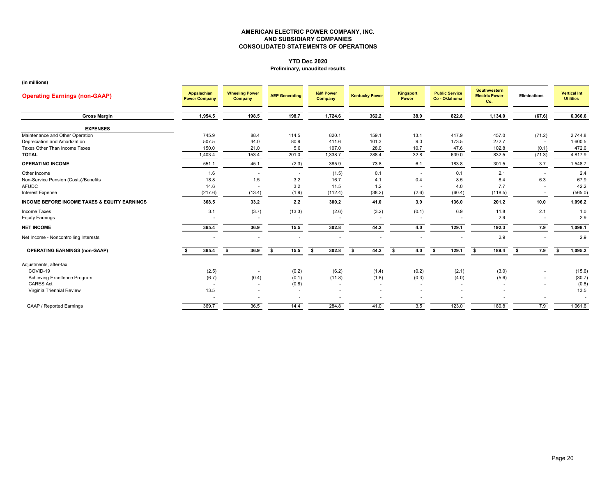#### **YTD Dec 2020 Preliminary, unaudited results**

| <b>Operating Earnings (non-GAAP)</b>                    | Appalachian<br><b>Power Company</b> | <b>Wheeling Power</b><br>Company | <b>AEP Generating</b> | <b>I&amp;M Power</b><br>Company | <b>Kentucky Power</b> | <b>Kingsport</b><br>Power | <b>Public Service</b><br>Co - Oklahoma | <b>Southwestern</b><br><b>Electric Power</b><br>Co. | <b>Eliminations</b> | <b>Vertical Int</b><br><b>Utilities</b> |
|---------------------------------------------------------|-------------------------------------|----------------------------------|-----------------------|---------------------------------|-----------------------|---------------------------|----------------------------------------|-----------------------------------------------------|---------------------|-----------------------------------------|
| <b>Gross Margin</b>                                     | 1,954.5                             | 198.5                            | 198.7                 | 1,724.6                         | 362.2                 | 38.9                      | 822.8                                  | 1,134.0                                             | (67.6)              | 6,366.6                                 |
| <b>EXPENSES</b>                                         |                                     |                                  |                       |                                 |                       |                           |                                        |                                                     |                     |                                         |
| Maintenance and Other Operation                         | 745.9                               | 88.4                             | 114.5                 | 820.1                           | 159.1                 | 13.1                      | 417.9                                  | 457.0                                               | (71.2)              | 2,744.8                                 |
| Depreciation and Amortization                           | 507.5                               | 44.0                             | 80.9                  | 411.6                           | 101.3                 | 9.0                       | 173.5                                  | 272.7                                               |                     | 1,600.5                                 |
| Taxes Other Than Income Taxes                           | 150.0                               | 21.0                             | 5.6                   | 107.0                           | 28.0                  | 10.7                      | 47.6                                   | 102.8                                               | (0.1)               | 472.6                                   |
| <b>TOTAL</b>                                            | 1,403.4                             | 153.4                            | 201.0                 | 1,338.7                         | 288.4                 | 32.8                      | 639.0                                  | 832.5                                               | (71.3)              | 4,817.9                                 |
| <b>OPERATING INCOME</b>                                 | 551.1                               | 45.1                             | (2.3)                 | 385.9                           | 73.8                  | 6.1                       | 183.8                                  | 301.5                                               | 3.7                 | 1,548.7                                 |
| Other Income                                            | 1.6                                 |                                  |                       | (1.5)                           | 0.1                   |                           | 0.1                                    | 2.1                                                 |                     | 2.4                                     |
| Non-Service Pension (Costs)/Benefits                    | 18.8                                | 1.5                              | 3.2                   | 16.7                            | 4.1                   | 0.4                       | 8.5                                    | 8.4                                                 | 6.3                 | 67.9                                    |
| <b>AFUDC</b>                                            | 14.6                                |                                  | 3.2                   | 11.5                            | 1.2                   |                           | 4.0                                    | 7.7                                                 |                     | 42.2                                    |
| <b>Interest Expense</b>                                 | (217.6)                             | (13.4)                           | (1.9)                 | (112.4)                         | (38.2)                | (2.6)                     | (60.4)                                 | (118.5)                                             |                     | (565.0)                                 |
| <b>INCOME BEFORE INCOME TAXES &amp; EQUITY EARNINGS</b> | 368.5                               | 33.2                             | 2.2                   | 300.2                           | 41.0                  | 3.9                       | 136.0                                  | 201.2                                               | 10.0                | 1,096.2                                 |
| <b>Income Taxes</b>                                     | 3.1                                 | (3.7)                            | (13.3)                | (2.6)                           | (3.2)                 | (0.1)                     | 6.9                                    | 11.8                                                | 2.1                 | 1.0                                     |
| <b>Equity Earnings</b>                                  |                                     |                                  |                       |                                 |                       |                           |                                        | 2.9                                                 |                     | 2.9                                     |
| <b>NET INCOME</b>                                       | 365.4                               | 36.9                             | 15.5                  | 302.8                           | 44.2                  | 4.0                       | 129.1                                  | 192.3                                               | 7.9                 | 1,098.1                                 |
| Net Income - Noncontrolling Interests                   |                                     |                                  |                       |                                 |                       |                           |                                        | 2.9                                                 |                     | 2.9                                     |
| <b>OPERATING EARNINGS (non-GAAP)</b>                    | 365.4                               | 36.9<br>- \$                     | 15.5<br>s.            | 302.8<br>Ŝ.                     | 44.2<br>- \$          | 4.0<br>- \$               | \$<br>129.1                            | 189.4                                               | 7.9<br>-S           | 1,095.2<br>\$                           |
| Adjustments, after-tax                                  |                                     |                                  |                       |                                 |                       |                           |                                        |                                                     |                     |                                         |
| COVID-19                                                | (2.5)                               |                                  | (0.2)                 | (6.2)                           | (1.4)                 | (0.2)                     | (2.1)                                  | (3.0)                                               |                     | (15.6)                                  |
| Achieving Excellence Program                            | (6.7)                               | (0.4)                            | (0.1)                 | (11.8)                          | (1.8)                 | (0.3)                     | (4.0)                                  | (5.6)                                               |                     | (30.7)                                  |
| <b>CARES Act</b>                                        | $\overline{\phantom{a}}$            |                                  | (0.8)                 |                                 |                       |                           |                                        |                                                     |                     | (0.8)                                   |
| Virginia Triennial Review                               | 13.5                                |                                  |                       |                                 |                       |                           |                                        |                                                     |                     | 13.5                                    |
|                                                         |                                     |                                  | $\blacksquare$        |                                 |                       |                           |                                        |                                                     | ۰                   |                                         |
| <b>GAAP / Reported Earnings</b>                         | 369.7                               | 36.5                             | 14.4                  | 284.8                           | 41.0                  | 3.5                       | 123.0                                  | 180.8                                               | 7.9                 | 1,061.6                                 |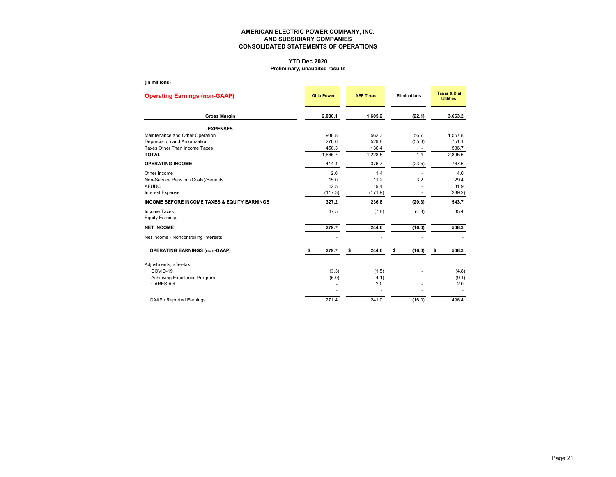# **YTD Dec 2020**

### **Preliminary, unaudited results**

| (in millions)                                           |                   |                  |                     |                                             |
|---------------------------------------------------------|-------------------|------------------|---------------------|---------------------------------------------|
| <b>Operating Earnings (non-GAAP)</b>                    | <b>Ohio Power</b> | <b>AEP Texas</b> | <b>Eliminations</b> | <b>Trans &amp; Dist</b><br><b>Utilities</b> |
| <b>Gross Margin</b>                                     | 2,080.1           | 1,605.2          | (22.1)              | 3,663.2                                     |
| <b>EXPENSES</b>                                         |                   |                  |                     |                                             |
| Maintenance and Other Operation                         | 938.8             | 562.3            | 56.7                | 1,557.8                                     |
| Depreciation and Amortization                           | 276.6             | 529.8            | (55.3)              | 751.1                                       |
| Taxes Other Than Income Taxes                           | 450.3             | 136.4            |                     | 586.7                                       |
| <b>TOTAL</b>                                            | 1.665.7           | 1,228.5          | 1.4                 | 2,895.6                                     |
| <b>OPERATING INCOME</b>                                 | 414.4             | 376.7            | (23.5)              | 767.6                                       |
| Other Income                                            | 2.6               | 1.4              |                     | 4.0                                         |
| Non-Service Pension (Costs)/Benefits                    | 15.0              | 11.2             | 3.2                 | 29.4                                        |
| <b>AFUDC</b>                                            | 12.5              | 19.4             |                     | 31.9                                        |
| Interest Expense                                        | (117.3)           | (171.9)          |                     | (289.2)                                     |
| <b>INCOME BEFORE INCOME TAXES &amp; EQUITY EARNINGS</b> | 327.2             | 236.8            | (20.3)              | 543.7                                       |
| <b>Income Taxes</b>                                     | 47.5              | (7.8)            | (4.3)               | 35.4                                        |
| <b>Equity Earnings</b>                                  |                   |                  |                     |                                             |
| <b>NET INCOME</b>                                       | 279.7             | 244.6            | (16.0)              | 508.3                                       |
| Net Income - Noncontrolling Interests                   |                   |                  |                     |                                             |
| <b>OPERATING EARNINGS (non-GAAP)</b>                    | 279.7<br>\$       | \$<br>244.6      | \$<br>(16.0)        | \$<br>508.3                                 |
| Adjustments, after-tax                                  |                   |                  |                     |                                             |
| COVID-19                                                | (3.3)             | (1.5)            |                     | (4.8)                                       |
| Achieving Excellence Program                            | (5.0)             | (4.1)            |                     | (9.1)                                       |
| <b>CARES Act</b>                                        |                   | 2.0              |                     | 2.0                                         |
|                                                         |                   |                  |                     |                                             |
| GAAP / Reported Earnings                                | 271.4             | 241.0            | (16.0)              | 496.4                                       |
|                                                         |                   |                  |                     |                                             |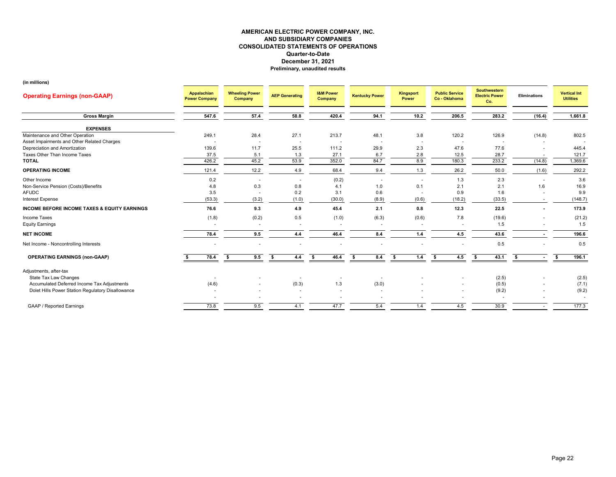| <b>Operating Earnings (non-GAAP)</b>                    | Appalachian<br><b>Power Company</b> | <b>Wheeling Power</b><br>Company | <b>AEP Generating</b>    | <b>I&amp;M Power</b><br><b>Company</b> | <b>Kentucky Power</b> | Kingsport<br>Power | <b>Public Service</b><br>Co - Oklahoma | Southwestern<br><b>Electric Power</b><br>Co. | Eliminations | <b>Vertical Int</b><br><b>Utilities</b> |
|---------------------------------------------------------|-------------------------------------|----------------------------------|--------------------------|----------------------------------------|-----------------------|--------------------|----------------------------------------|----------------------------------------------|--------------|-----------------------------------------|
| <b>Gross Margin</b>                                     | 547.6                               | 57.4                             | 58.8                     | 420.4                                  | 94.1                  | 10.2               | 206.5                                  | 283.2                                        | (16.4)       | 1,661.8                                 |
| <b>EXPENSES</b>                                         |                                     |                                  |                          |                                        |                       |                    |                                        |                                              |              |                                         |
| Maintenance and Other Operation                         | 249.1                               | 28.4                             | 27.1                     | 213.7                                  | 48.1                  | 3.8                | 120.2                                  | 126.9                                        | (14.8)       | 802.5                                   |
| Asset Impairments and Other Related Charges             |                                     |                                  | $\overline{\phantom{a}}$ |                                        |                       |                    |                                        |                                              |              |                                         |
| Depreciation and Amortization                           | 139.6                               | 11.7                             | 25.5                     | 111.2                                  | 29.9                  | 2.3                | 47.6                                   | 77.6                                         |              | 445.4                                   |
| Taxes Other Than Income Taxes                           | 37.5                                | 5.1                              | 1.3                      | 27.1                                   | 6.7                   | 2.8                | 12.5                                   | 28.7                                         |              | 121.7                                   |
| <b>TOTAL</b>                                            | 426.2                               | 45.2                             | 53.9                     | 352.0                                  | 84.7                  | 8.9                | 180.3                                  | 233.2                                        | (14.8)       | 1,369.6                                 |
| <b>OPERATING INCOME</b>                                 | 121.4                               | 12.2                             | 4.9                      | 68.4                                   | 9.4                   | 1.3                | 26.2                                   | 50.0                                         | (1.6)        | 292.2                                   |
| Other Income                                            | 0.2                                 |                                  | $\overline{\phantom{a}}$ | (0.2)                                  |                       | $\sim$             | 1.3                                    | 2.3                                          |              | 3.6                                     |
| Non-Service Pension (Costs)/Benefits                    | 4.8                                 | 0.3                              | 0.8                      | 4.1                                    | 1.0                   | 0.1                | 2.1                                    | 2.1                                          | 1.6          | 16.9                                    |
| <b>AFUDC</b>                                            | 3.5                                 |                                  | 0.2                      | 3.1                                    | 0.6                   |                    | 0.9                                    | 1.6                                          |              | 9.9                                     |
| Interest Expense                                        | (53.3)                              | (3.2)                            | (1.0)                    | (30.0)                                 | (8.9)                 | (0.6)              | (18.2)                                 | (33.5)                                       |              | (148.7)                                 |
| <b>INCOME BEFORE INCOME TAXES &amp; EQUITY EARNINGS</b> | 76.6                                | 9.3                              | 4.9                      | 45.4                                   | 2.1                   | 0.8                | 12.3                                   | 22.5                                         |              | 173.9                                   |
| Income Taxes                                            | (1.8)                               | (0.2)                            | 0.5                      | (1.0)                                  | (6.3)                 | (0.6)              | 7.8                                    | (19.6)                                       |              | (21.2)                                  |
| <b>Equity Earnings</b>                                  |                                     | $\overline{\phantom{a}}$         | ۰.                       |                                        |                       | <b>1999</b>        |                                        | 1.5                                          |              | 1.5                                     |
| <b>NET INCOME</b>                                       | 78.4                                | 9.5                              | 4.4                      | 46.4                                   | 8.4                   | 1.4                | 4.5                                    | 43.6                                         |              | 196.6                                   |
| Net Income - Noncontrolling Interests                   |                                     |                                  |                          |                                        |                       |                    |                                        | 0.5                                          |              | 0.5                                     |
| <b>OPERATING EARNINGS (non-GAAP)</b>                    | 78.4                                | 9.5<br>Ŝ.                        | 4.4<br>- \$              | 46.4<br>- \$                           | 8.4<br>-S             | 1.4<br>\$.         | 4.5<br>- \$                            | 43.1<br>-96                                  |              | 196.1<br>S.                             |
| Adjustments, after-tax                                  |                                     |                                  |                          |                                        |                       |                    |                                        |                                              |              |                                         |
| State Tax Law Changes                                   |                                     |                                  |                          |                                        |                       |                    |                                        | (2.5)                                        |              | (2.5)                                   |
| Accumulated Deferred Income Tax Adjustments             | (4.6)                               |                                  | (0.3)                    | 1.3                                    | (3.0)                 |                    |                                        | (0.5)                                        |              | (7.1)                                   |
| Dolet Hills Power Station Regulatory Disallowance       |                                     |                                  |                          |                                        |                       |                    |                                        | (9.2)                                        |              | (9.2)                                   |
|                                                         |                                     |                                  |                          |                                        |                       |                    |                                        |                                              |              |                                         |
| <b>GAAP / Reported Earnings</b>                         | 73.8                                | 9.5                              | 4.1                      | 47.7                                   | 5.4                   | 1.4                | 4.5                                    | 30.9                                         |              | 177.3                                   |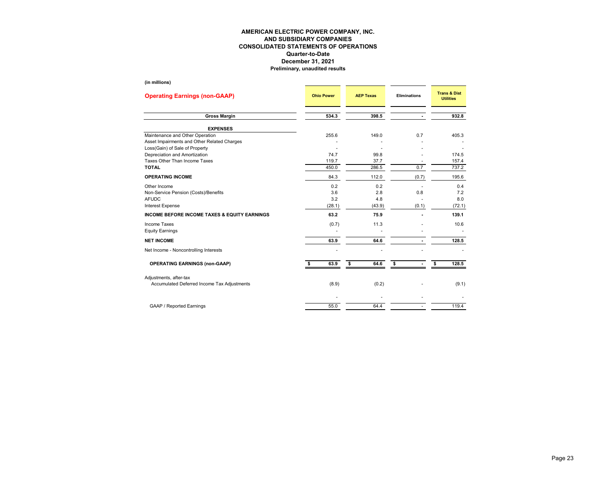| (III IIIIIIIOIIS <i>)</i>                                                                                        |                   |                  |                     |                                             |
|------------------------------------------------------------------------------------------------------------------|-------------------|------------------|---------------------|---------------------------------------------|
| <b>Operating Earnings (non-GAAP)</b>                                                                             | <b>Ohio Power</b> | <b>AEP Texas</b> | <b>Eliminations</b> | <b>Trans &amp; Dist</b><br><b>Utilities</b> |
| <b>Gross Margin</b>                                                                                              | 534.3             | 398.5            |                     | 932.8                                       |
| <b>EXPENSES</b>                                                                                                  |                   |                  |                     |                                             |
| Maintenance and Other Operation<br>Asset Impairments and Other Related Charges<br>Loss(Gain) of Sale of Property | 255.6             | 149.0            | 0.7                 | 405.3                                       |
| Depreciation and Amortization                                                                                    | 74.7              | 99.8             |                     | 174.5                                       |
| Taxes Other Than Income Taxes                                                                                    | 119.7             | 37.7             |                     | 157.4                                       |
| <b>TOTAL</b>                                                                                                     | 450.0             | 286.5            | 0.7                 | 737.2                                       |
| <b>OPERATING INCOME</b>                                                                                          | 84.3              | 112.0            | (0.7)               | 195.6                                       |
| Other Income                                                                                                     | 0.2               | 0.2              |                     | 0.4                                         |
| Non-Service Pension (Costs)/Benefits                                                                             | 3.6               | 2.8              | 0.8                 | 7.2                                         |
| <b>AFUDC</b>                                                                                                     | 3.2               | 4.8              |                     | 8.0                                         |
| Interest Expense                                                                                                 | (28.1)            | (43.9)           | (0.1)               | (72.1)                                      |
| <b>INCOME BEFORE INCOME TAXES &amp; EQUITY EARNINGS</b>                                                          | 63.2              | 75.9             |                     | 139.1                                       |
| <b>Income Taxes</b><br><b>Equity Earnings</b>                                                                    | (0.7)             | 11.3             |                     | 10.6                                        |
| <b>NET INCOME</b>                                                                                                | 63.9              | 64.6             |                     | 128.5                                       |
| Net Income - Noncontrolling Interests                                                                            |                   |                  |                     |                                             |
| <b>OPERATING EARNINGS (non-GAAP)</b>                                                                             | 63.9              | 64.6<br>\$       | \$                  | 128.5<br>\$                                 |
| Adjustments, after-tax                                                                                           |                   |                  |                     |                                             |
| Accumulated Deferred Income Tax Adjustments                                                                      | (8.9)             | (0.2)            |                     | (9.1)                                       |
|                                                                                                                  |                   |                  |                     |                                             |
| <b>GAAP / Reported Earnings</b>                                                                                  | 55.0              | 64.4             |                     | 119.4                                       |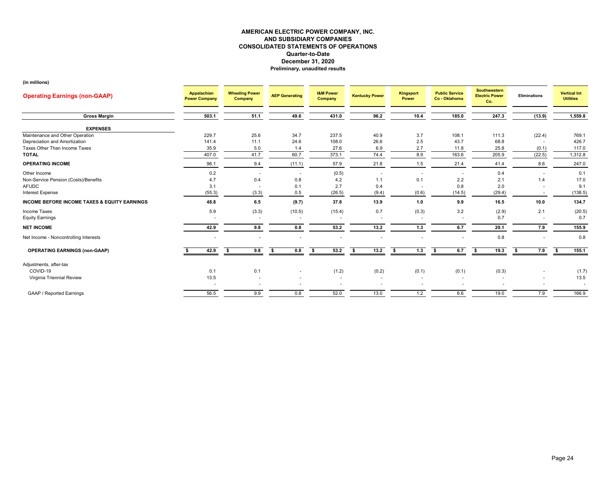| <b>Operating Earnings (non-GAAP)</b>                    | Appalachian<br><b>Power Company</b> | <b>Wheeling Power</b><br>Company | <b>AEP Generating</b> | <b>I&amp;M Power</b><br><b>Company</b> | <b>Kentucky Power</b>    | Kingsport<br>Power       | <b>Public Service</b><br>Co - Oklahoma | <b>Southwestern</b><br><b>Electric Power</b><br>Co. | <b>Eliminations</b> | <b>Vertical Int</b><br><b>Utilities</b> |
|---------------------------------------------------------|-------------------------------------|----------------------------------|-----------------------|----------------------------------------|--------------------------|--------------------------|----------------------------------------|-----------------------------------------------------|---------------------|-----------------------------------------|
| <b>Gross Margin</b>                                     | 503.1                               | 51.1                             | 49.6                  | 431.0                                  | 96.2                     | 10.4                     | 185.0                                  | 247.3                                               | (13.9)              | 1,559.8                                 |
| <b>EXPENSES</b>                                         |                                     |                                  |                       |                                        |                          |                          |                                        |                                                     |                     |                                         |
| Maintenance and Other Operation                         | 229.7                               | 25.6                             | 34.7                  | 237.5                                  | 40.9                     | 3.7                      | 108.1                                  | 111.3                                               | (22.4)              | 769.1                                   |
| Depreciation and Amortization                           | 141.4                               | 11.1                             | 24.6                  | 108.0                                  | 26.6                     | 2.5                      | 43.7                                   | 68.8                                                |                     | 426.7                                   |
| Taxes Other Than Income Taxes                           | 35.9                                | $5.0\,$                          | 1.4                   | 27.6                                   | 6.9                      | 2.7                      | 11.8                                   | 25.8                                                | (0.1)               | 117.0                                   |
| <b>TOTAL</b>                                            | 407.0                               | 41.7                             | 60.7                  | 373.1                                  | 74.4                     | 8.9                      | 163.6                                  | 205.9                                               | (22.5)              | 1,312.8                                 |
| <b>OPERATING INCOME</b>                                 | 96.1                                | 9.4                              | (11.1)                | 57.9                                   | 21.8                     | 1.5                      | 21.4                                   | 41.4                                                | 8.6                 | 247.0                                   |
| Other Income                                            | 0.2                                 |                                  |                       | (0.5)                                  |                          |                          |                                        | 0.4                                                 |                     | 0.1                                     |
| Non-Service Pension (Costs)/Benefits                    | 4.7                                 | 0.4                              | 0.8                   | 4.2                                    | 1.1                      | 0.1                      | 2.2                                    | 2.1                                                 | 1.4                 | 17.0                                    |
| <b>AFUDC</b>                                            | 3.1                                 |                                  | 0.1                   | 2.7                                    | 0.4                      |                          | 0.8                                    | 2.0                                                 |                     | 9.1                                     |
| <b>Interest Expense</b>                                 | (55.3)                              | (3.3)                            | 0.5                   | (26.5)                                 | (9.4)                    | (0.6)                    | (14.5)                                 | (29.4)                                              |                     | (138.5)                                 |
| <b>INCOME BEFORE INCOME TAXES &amp; EQUITY EARNINGS</b> | 48.8                                | 6.5                              | (9.7)                 | 37.8                                   | 13.9                     | 1.0                      | 9.9                                    | 16.5                                                | 10.0                | 134.7                                   |
| Income Taxes                                            | 5.9                                 | (3.3)                            | (10.5)                | (15.4)                                 | 0.7                      | (0.3)                    | 3.2                                    | (2.9)                                               | 2.1                 | (20.5)                                  |
| <b>Equity Earnings</b>                                  |                                     |                                  |                       |                                        | $\overline{\phantom{a}}$ | $\overline{\phantom{a}}$ |                                        | 0.7                                                 |                     | 0.7                                     |
|                                                         |                                     |                                  |                       |                                        |                          |                          |                                        |                                                     |                     |                                         |
| <b>NET INCOME</b>                                       | 42.9                                | 9.8                              | 0.8                   | 53.2                                   | 13.2                     | 1.3                      | 6.7                                    | 20.1                                                | 7.9                 | 155.9                                   |
| Net Income - Noncontrolling Interests                   | ٠                                   | $\overline{\phantom{a}}$         | ٠                     |                                        | ٠                        |                          |                                        | 0.8                                                 |                     | 0.8                                     |
| <b>OPERATING EARNINGS (non-GAAP)</b>                    | 42.9                                | 9.8<br>\$                        | 0.8<br>s.             | 53.2<br>s.                             | 13.2<br>S.               | 1.3<br>s.                | 6.7<br>\$                              | 19.3<br>S.                                          | 7.9<br>- \$         | s.<br>155.1                             |
| Adjustments, after-tax                                  |                                     |                                  |                       |                                        |                          |                          |                                        |                                                     |                     |                                         |
| COVID-19                                                | 0.1                                 | 0.1                              |                       | (1.2)                                  | (0.2)                    | (0.1)                    | (0.1)                                  | (0.3)                                               |                     | (1.7)                                   |
| Virginia Triennial Review                               | 13.5                                |                                  |                       |                                        | $\overline{\phantom{a}}$ | ۰.                       |                                        |                                                     |                     | 13.5                                    |
|                                                         |                                     | ٠                                |                       |                                        | ٠                        |                          |                                        |                                                     |                     | $\overline{\phantom{a}}$                |
| <b>GAAP / Reported Earnings</b>                         | 56.5                                | 9.9                              | 0.8                   | 52.0                                   | 13.0                     | 1.2                      | 6.6                                    | 19.0                                                | 7.9                 | 166.9                                   |